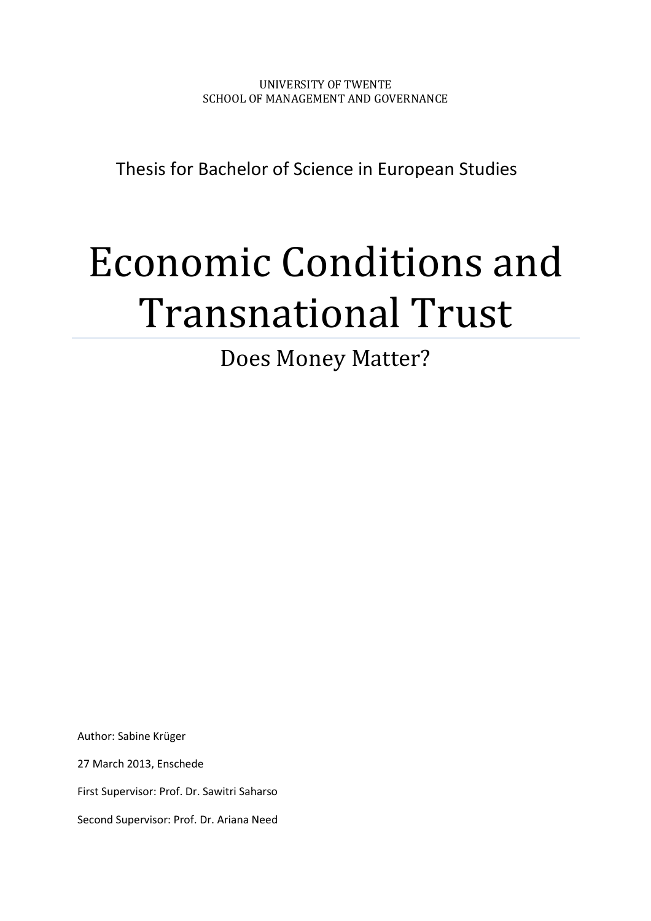UNIVERSITY OF TWENTE SCHOOL OF MANAGEMENT AND GOVERNANCE

Thesis for Bachelor of Science in European Studies

# Economic Conditions and Transnational Trust

Does Money Matter?

Author: Sabine Krüger

27 March 2013, Enschede

First Supervisor: Prof. Dr. Sawitri Saharso

Second Supervisor: Prof. Dr. Ariana Need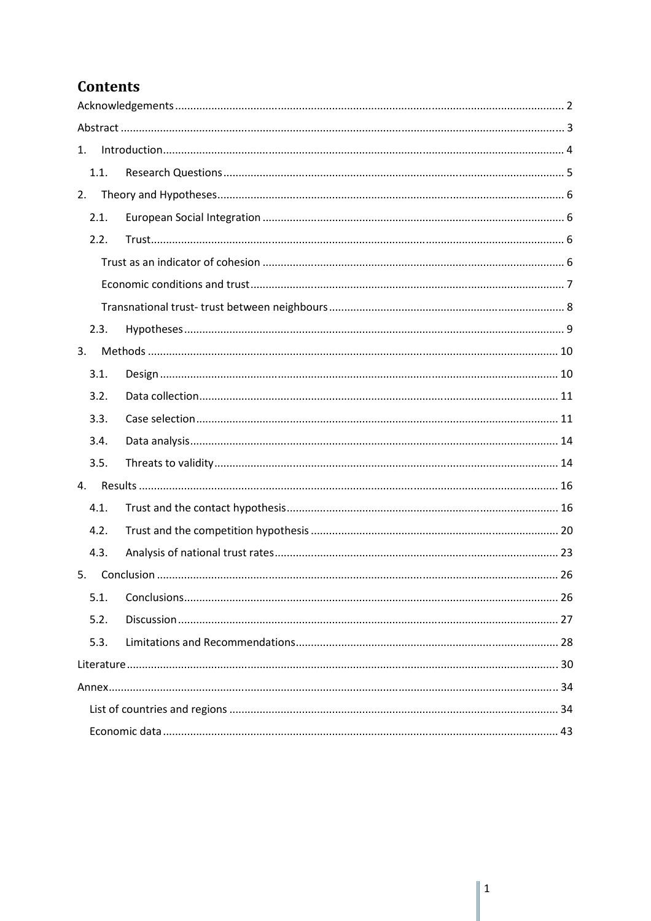# **Contents**

| 1.   |  |
|------|--|
| 1.1. |  |
| 2.   |  |
| 2.1. |  |
| 2.2. |  |
|      |  |
|      |  |
|      |  |
| 2.3. |  |
| 3.   |  |
| 3.1. |  |
| 3.2. |  |
| 3.3. |  |
| 3.4. |  |
| 3.5. |  |
| 4.   |  |
| 4.1. |  |
| 4.2. |  |
| 4.3. |  |
| 5.   |  |
| 5.1. |  |
| 5.2. |  |
| 5.3. |  |
|      |  |
|      |  |
|      |  |
|      |  |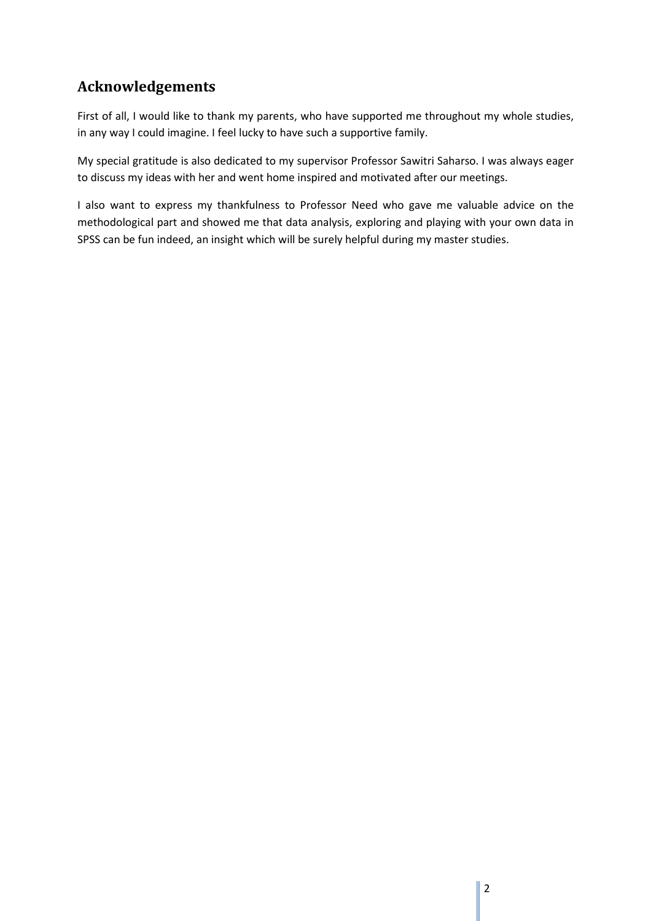# **Acknowledgements**

First of all, I would like to thank my parents, who have supported me throughout my whole studies, in any way I could imagine. I feel lucky to have such a supportive family.

My special gratitude is also dedicated to my supervisor Professor Sawitri Saharso. I was always eager to discuss my ideas with her and went home inspired and motivated after our meetings.

I also want to express my thankfulness to Professor Need who gave me valuable advice on the methodological part and showed me that data analysis, exploring and playing with your own data in SPSS can be fun indeed, an insight which will be surely helpful during my master studies.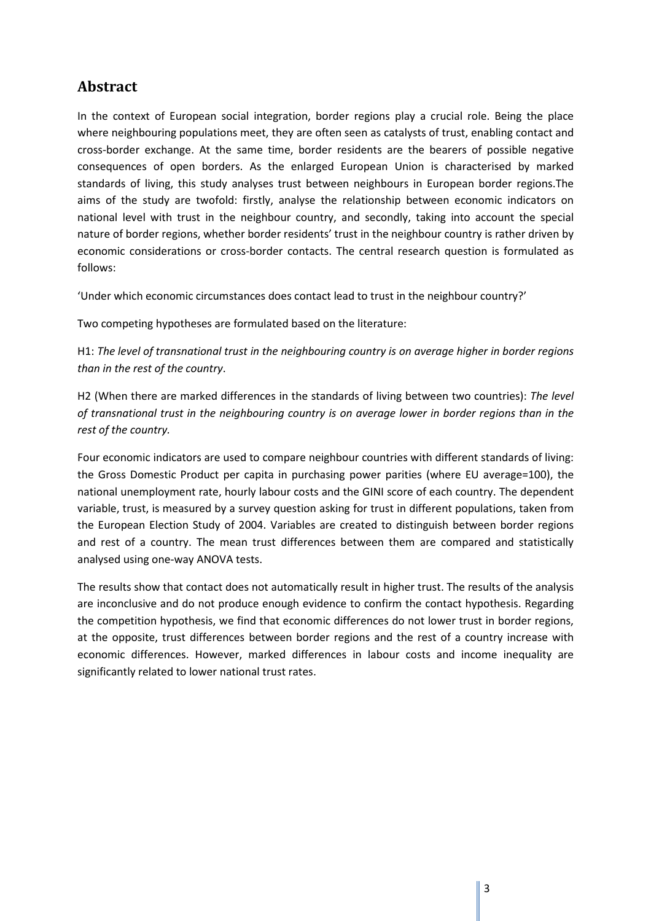# **Abstract**

In the context of European social integration, border regions play a crucial role. Being the place where neighbouring populations meet, they are often seen as catalysts of trust, enabling contact and cross-border exchange. At the same time, border residents are the bearers of possible negative consequences of open borders. As the enlarged European Union is characterised by marked standards of living, this study analyses trust between neighbours in European border regions.The aims of the study are twofold: firstly, analyse the relationship between economic indicators on national level with trust in the neighbour country, and secondly, taking into account the special nature of border regions, whether border residents' trust in the neighbour country is rather driven by economic considerations or cross-border contacts. The central research question is formulated as follows:

'Under which economic circumstances does contact lead to trust in the neighbour country?'

Two competing hypotheses are formulated based on the literature:

H1: *The level of transnational trust in the neighbouring country is on average higher in border regions than in the rest of the country*.

H2 (When there are marked differences in the standards of living between two countries): *The level of transnational trust in the neighbouring country is on average lower in border regions than in the rest of the country.* 

Four economic indicators are used to compare neighbour countries with different standards of living: the Gross Domestic Product per capita in purchasing power parities (where EU average=100), the national unemployment rate, hourly labour costs and the GINI score of each country. The dependent variable, trust, is measured by a survey question asking for trust in different populations, taken from the European Election Study of 2004. Variables are created to distinguish between border regions and rest of a country. The mean trust differences between them are compared and statistically analysed using one-way ANOVA tests.

The results show that contact does not automatically result in higher trust. The results of the analysis are inconclusive and do not produce enough evidence to confirm the contact hypothesis. Regarding the competition hypothesis, we find that economic differences do not lower trust in border regions, at the opposite, trust differences between border regions and the rest of a country increase with economic differences. However, marked differences in labour costs and income inequality are significantly related to lower national trust rates.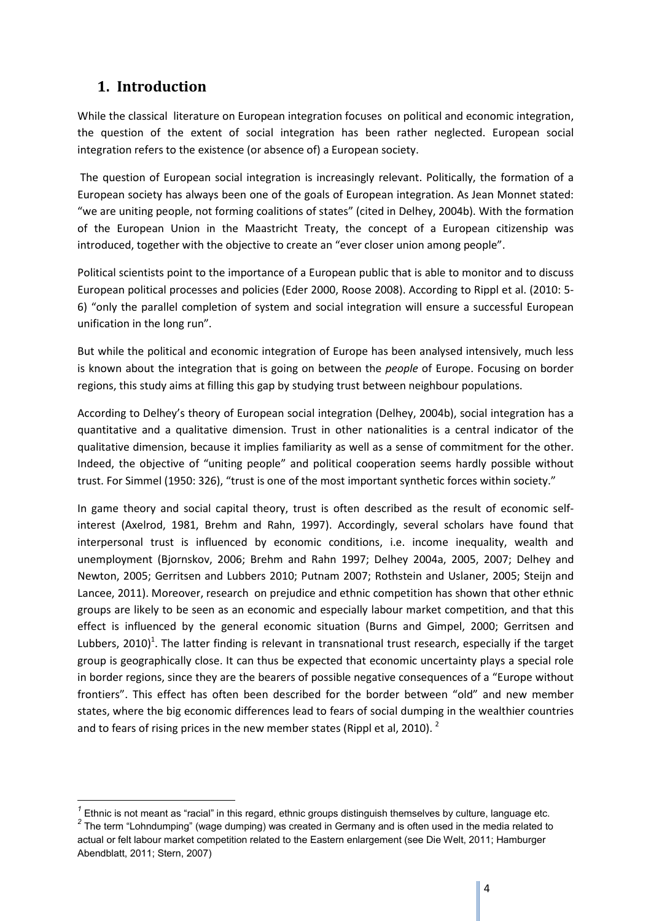# **1. Introduction**

 $\overline{a}$ 

While the classical literature on European integration focuses on political and economic integration, the question of the extent of social integration has been rather neglected. European social integration refers to the existence (or absence of) a European society.

 The question of European social integration is increasingly relevant. Politically, the formation of a European society has always been one of the goals of European integration. As Jean Monnet stated: "we are uniting people, not forming coalitions of states" (cited in Delhey, 2004b). With the formation of the European Union in the Maastricht Treaty, the concept of a European citizenship was introduced, together with the objective to create an "ever closer union among people".

Political scientists point to the importance of a European public that is able to monitor and to discuss European political processes and policies (Eder 2000, Roose 2008). According to Rippl et al. (2010: 5- 6) "only the parallel completion of system and social integration will ensure a successful European unification in the long run".

But while the political and economic integration of Europe has been analysed intensively, much less is known about the integration that is going on between the *people* of Europe. Focusing on border regions, this study aims at filling this gap by studying trust between neighbour populations.

According to Delhey's theory of European social integration (Delhey, 2004b), social integration has a quantitative and a qualitative dimension. Trust in other nationalities is a central indicator of the qualitative dimension, because it implies familiarity as well as a sense of commitment for the other. Indeed, the objective of "uniting people" and political cooperation seems hardly possible without trust. For Simmel (1950: 326), "trust is one of the most important synthetic forces within society."

In game theory and social capital theory, trust is often described as the result of economic selfinterest (Axelrod, 1981, Brehm and Rahn, 1997). Accordingly, several scholars have found that interpersonal trust is influenced by economic conditions, i.e. income inequality, wealth and unemployment (Bjornskov, 2006; Brehm and Rahn 1997; Delhey 2004a, 2005, 2007; Delhey and Newton, 2005; Gerritsen and Lubbers 2010; Putnam 2007; Rothstein and Uslaner, 2005; Steijn and Lancee, 2011). Moreover, research on prejudice and ethnic competition has shown that other ethnic groups are likely to be seen as an economic and especially labour market competition, and that this effect is influenced by the general economic situation (Burns and Gimpel, 2000; Gerritsen and Lubbers, 2010)<sup>1</sup>. The latter finding is relevant in transnational trust research, especially if the target group is geographically close. It can thus be expected that economic uncertainty plays a special role in border regions, since they are the bearers of possible negative consequences of a "Europe without frontiers". This effect has often been described for the border between "old" and new member states, where the big economic differences lead to fears of social dumping in the wealthier countries and to fears of rising prices in the new member states (Rippl et al, 2010). <sup>2</sup>

*<sup>1</sup>* Ethnic is not meant as "racial" in this regard, ethnic groups distinguish themselves by culture, language etc. <sup>2</sup> The term "Lohndumping" (wage dumping) was created in Germany and is often used in the media related to actual or felt labour market competition related to the Eastern enlargement (see Die Welt, 2011; Hamburger Abendblatt, 2011; Stern, 2007)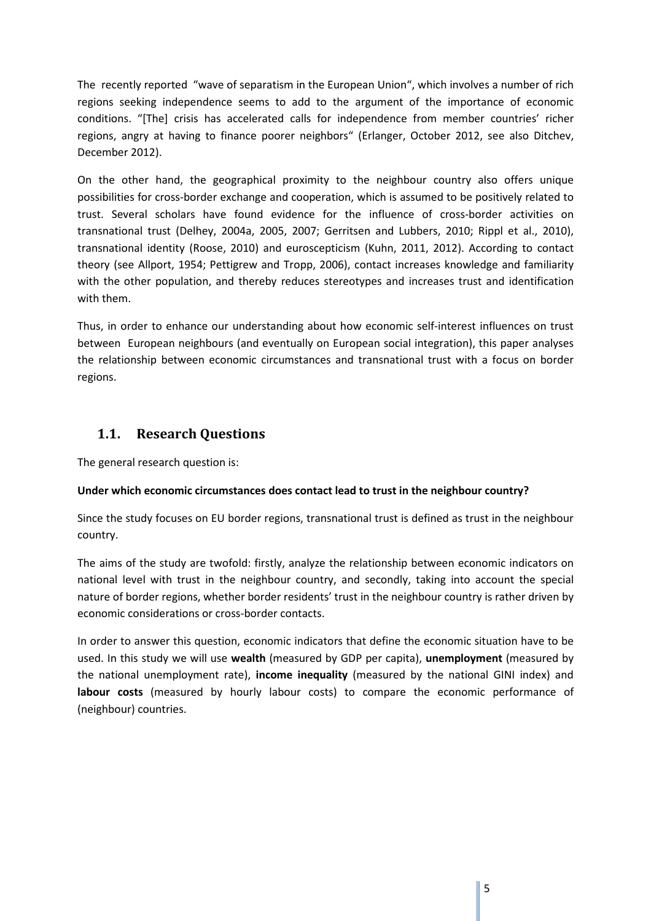The recently reported "wave of separatism in the European Union", which involves a number of rich regions seeking independence seems to add to the argument of the importance of economic conditions. "[The] crisis has accelerated calls for independence from member countries' richer regions, angry at having to finance poorer neighbors" (Erlanger, October 2012, see also Ditchev, December 2012).

On the other hand, the geographical proximity to the neighbour country also offers unique possibilities for cross-border exchange and cooperation, which is assumed to be positively related to trust. Several scholars have found evidence for the influence of cross-border activities on transnational trust (Delhey, 2004a, 2005, 2007; Gerritsen and Lubbers, 2010; Rippl et al., 2010), transnational identity (Roose, 2010) and euroscepticism (Kuhn, 2011, 2012). According to contact theory (see Allport, 1954; Pettigrew and Tropp, 2006), contact increases knowledge and familiarity with the other population, and thereby reduces stereotypes and increases trust and identification with them.

Thus, in order to enhance our understanding about how economic self-interest influences on trust between European neighbours (and eventually on European social integration), this paper analyses the relationship between economic circumstances and transnational trust with a focus on border regions.

# **1.1. Research Questions**

The general research question is:

#### **Under which economic circumstances does contact lead to trust in the neighbour country?**

Since the study focuses on EU border regions, transnational trust is defined as trust in the neighbour country.

The aims of the study are twofold: firstly, analyze the relationship between economic indicators on national level with trust in the neighbour country, and secondly, taking into account the special nature of border regions, whether border residents' trust in the neighbour country is rather driven by economic considerations or cross-border contacts.

In order to answer this question, economic indicators that define the economic situation have to be used. In this study we will use **wealth** (measured by GDP per capita), **unemployment** (measured by the national unemployment rate), **income inequality** (measured by the national GINI index) and **labour costs** (measured by hourly labour costs) to compare the economic performance of (neighbour) countries.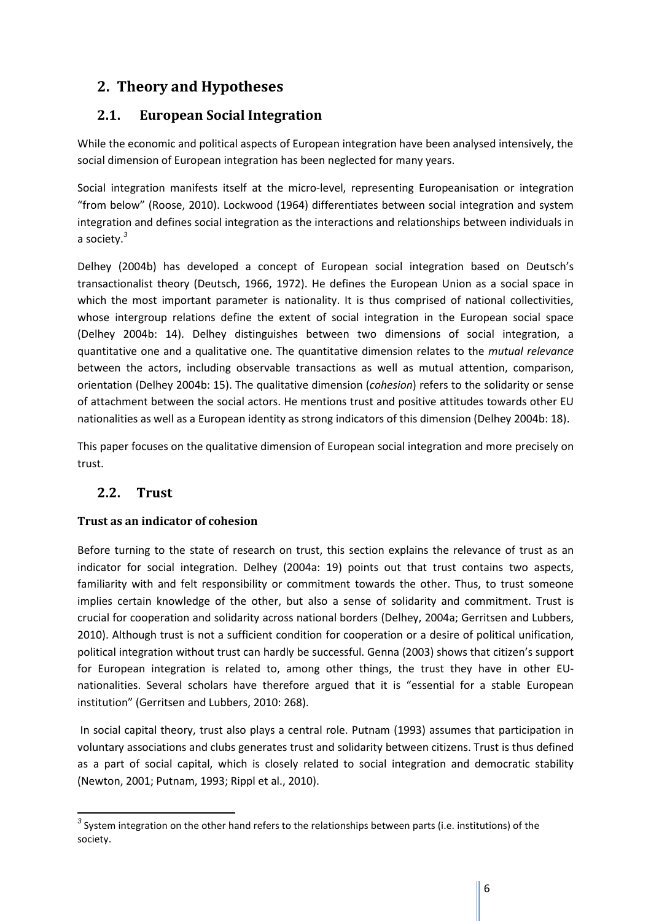# **2. Theory and Hypotheses**

# **2.1. European Social Integration**

While the economic and political aspects of European integration have been analysed intensively, the social dimension of European integration has been neglected for many years.

Social integration manifests itself at the micro-level, representing Europeanisation or integration "from below" (Roose, 2010). Lockwood (1964) differentiates between social integration and system integration and defines social integration as the interactions and relationships between individuals in a society.*<sup>3</sup>*

Delhey (2004b) has developed a concept of European social integration based on Deutsch's transactionalist theory (Deutsch, 1966, 1972). He defines the European Union as a social space in which the most important parameter is nationality. It is thus comprised of national collectivities, whose intergroup relations define the extent of social integration in the European social space (Delhey 2004b: 14). Delhey distinguishes between two dimensions of social integration, a quantitative one and a qualitative one. The quantitative dimension relates to the *mutual relevance* between the actors, including observable transactions as well as mutual attention, comparison, orientation (Delhey 2004b: 15). The qualitative dimension (*cohesion*) refers to the solidarity or sense of attachment between the social actors. He mentions trust and positive attitudes towards other EU nationalities as well as a European identity as strong indicators of this dimension (Delhey 2004b: 18).

This paper focuses on the qualitative dimension of European social integration and more precisely on trust.

# **2.2. Trust**

 $\overline{a}$ 

## **Trust as an indicator of cohesion**

Before turning to the state of research on trust, this section explains the relevance of trust as an indicator for social integration. Delhey (2004a: 19) points out that trust contains two aspects, familiarity with and felt responsibility or commitment towards the other. Thus, to trust someone implies certain knowledge of the other, but also a sense of solidarity and commitment. Trust is crucial for cooperation and solidarity across national borders (Delhey, 2004a; Gerritsen and Lubbers, 2010). Although trust is not a sufficient condition for cooperation or a desire of political unification, political integration without trust can hardly be successful. Genna (2003) shows that citizen's support for European integration is related to, among other things, the trust they have in other EUnationalities. Several scholars have therefore argued that it is "essential for a stable European institution" (Gerritsen and Lubbers, 2010: 268).

 In social capital theory, trust also plays a central role. Putnam (1993) assumes that participation in voluntary associations and clubs generates trust and solidarity between citizens. Trust is thus defined as a part of social capital, which is closely related to social integration and democratic stability (Newton, 2001; Putnam, 1993; Rippl et al., 2010).

*<sup>3</sup>* System integration on the other hand refers to the relationships between parts (i.e. institutions) of the society.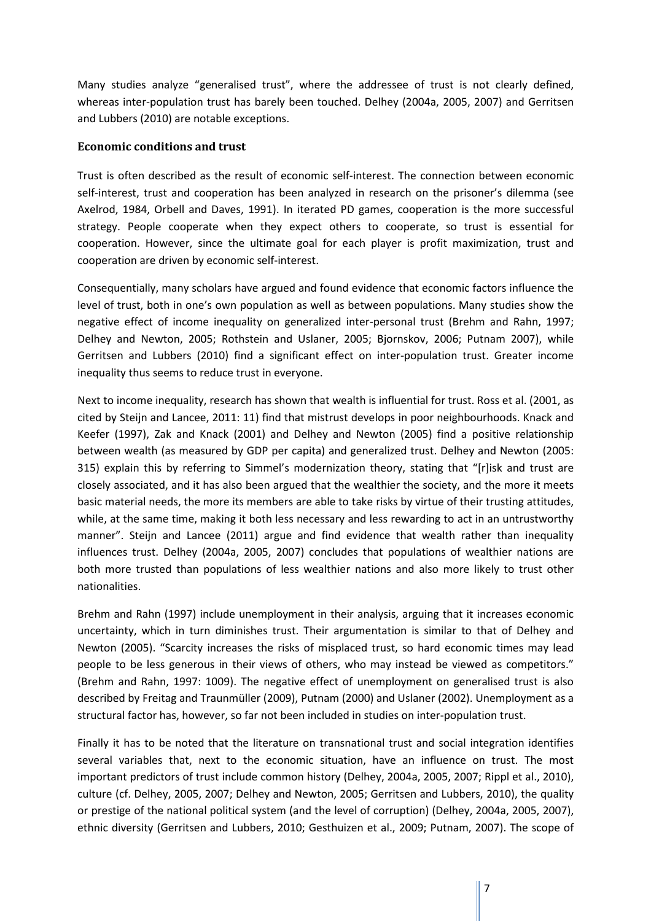Many studies analyze "generalised trust", where the addressee of trust is not clearly defined, whereas inter-population trust has barely been touched. Delhey (2004a, 2005, 2007) and Gerritsen and Lubbers (2010) are notable exceptions.

#### **Economic conditions and trust**

Trust is often described as the result of economic self-interest. The connection between economic self-interest, trust and cooperation has been analyzed in research on the prisoner's dilemma (see Axelrod, 1984, Orbell and Daves, 1991). In iterated PD games, cooperation is the more successful strategy. People cooperate when they expect others to cooperate, so trust is essential for cooperation. However, since the ultimate goal for each player is profit maximization, trust and cooperation are driven by economic self-interest.

Consequentially, many scholars have argued and found evidence that economic factors influence the level of trust, both in one's own population as well as between populations. Many studies show the negative effect of income inequality on generalized inter-personal trust (Brehm and Rahn, 1997; Delhey and Newton, 2005; Rothstein and Uslaner, 2005; Bjornskov, 2006; Putnam 2007), while Gerritsen and Lubbers (2010) find a significant effect on inter-population trust. Greater income inequality thus seems to reduce trust in everyone.

Next to income inequality, research has shown that wealth is influential for trust. Ross et al. (2001, as cited by Steijn and Lancee, 2011: 11) find that mistrust develops in poor neighbourhoods. Knack and Keefer (1997), Zak and Knack (2001) and Delhey and Newton (2005) find a positive relationship between wealth (as measured by GDP per capita) and generalized trust. Delhey and Newton (2005: 315) explain this by referring to Simmel's modernization theory, stating that "[r]isk and trust are closely associated, and it has also been argued that the wealthier the society, and the more it meets basic material needs, the more its members are able to take risks by virtue of their trusting attitudes, while, at the same time, making it both less necessary and less rewarding to act in an untrustworthy manner". Steijn and Lancee (2011) argue and find evidence that wealth rather than inequality influences trust. Delhey (2004a, 2005, 2007) concludes that populations of wealthier nations are both more trusted than populations of less wealthier nations and also more likely to trust other nationalities.

Brehm and Rahn (1997) include unemployment in their analysis, arguing that it increases economic uncertainty, which in turn diminishes trust. Their argumentation is similar to that of Delhey and Newton (2005). "Scarcity increases the risks of misplaced trust, so hard economic times may lead people to be less generous in their views of others, who may instead be viewed as competitors." (Brehm and Rahn, 1997: 1009). The negative effect of unemployment on generalised trust is also described by Freitag and Traunmüller (2009), Putnam (2000) and Uslaner (2002). Unemployment as a structural factor has, however, so far not been included in studies on inter-population trust.

Finally it has to be noted that the literature on transnational trust and social integration identifies several variables that, next to the economic situation, have an influence on trust. The most important predictors of trust include common history (Delhey, 2004a, 2005, 2007; Rippl et al., 2010), culture (cf. Delhey, 2005, 2007; Delhey and Newton, 2005; Gerritsen and Lubbers, 2010), the quality or prestige of the national political system (and the level of corruption) (Delhey, 2004a, 2005, 2007), ethnic diversity (Gerritsen and Lubbers, 2010; Gesthuizen et al., 2009; Putnam, 2007). The scope of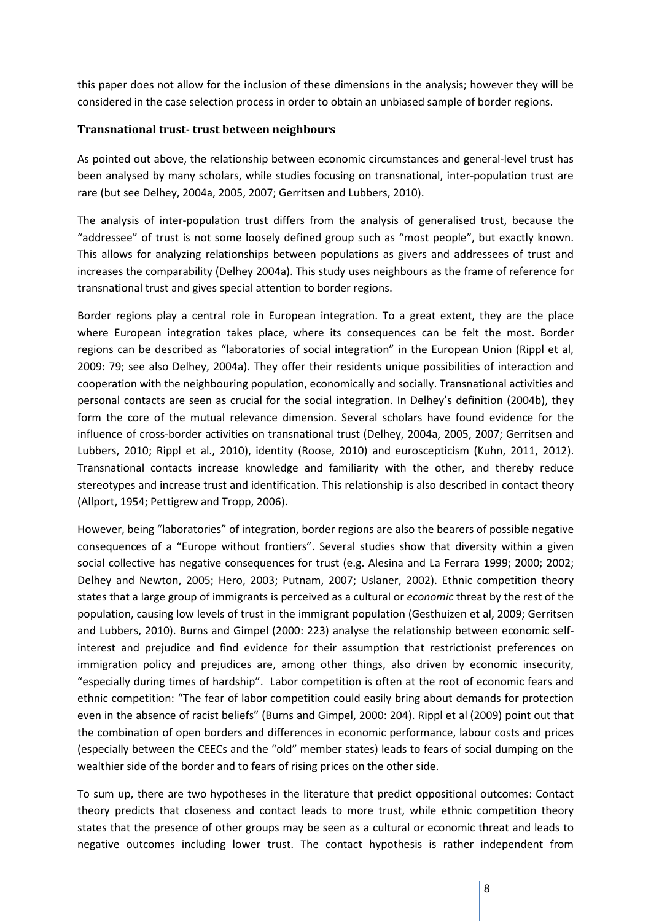this paper does not allow for the inclusion of these dimensions in the analysis; however they will be considered in the case selection process in order to obtain an unbiased sample of border regions.

#### **Transnational trust- trust between neighbours**

As pointed out above, the relationship between economic circumstances and general-level trust has been analysed by many scholars, while studies focusing on transnational, inter-population trust are rare (but see Delhey, 2004a, 2005, 2007; Gerritsen and Lubbers, 2010).

The analysis of inter-population trust differs from the analysis of generalised trust, because the "addressee" of trust is not some loosely defined group such as "most people", but exactly known. This allows for analyzing relationships between populations as givers and addressees of trust and increases the comparability (Delhey 2004a). This study uses neighbours as the frame of reference for transnational trust and gives special attention to border regions.

Border regions play a central role in European integration. To a great extent, they are the place where European integration takes place, where its consequences can be felt the most. Border regions can be described as "laboratories of social integration" in the European Union (Rippl et al, 2009: 79; see also Delhey, 2004a). They offer their residents unique possibilities of interaction and cooperation with the neighbouring population, economically and socially. Transnational activities and personal contacts are seen as crucial for the social integration. In Delhey's definition (2004b), they form the core of the mutual relevance dimension. Several scholars have found evidence for the influence of cross-border activities on transnational trust (Delhey, 2004a, 2005, 2007; Gerritsen and Lubbers, 2010; Rippl et al., 2010), identity (Roose, 2010) and euroscepticism (Kuhn, 2011, 2012). Transnational contacts increase knowledge and familiarity with the other, and thereby reduce stereotypes and increase trust and identification. This relationship is also described in contact theory (Allport, 1954; Pettigrew and Tropp, 2006).

However, being "laboratories" of integration, border regions are also the bearers of possible negative consequences of a "Europe without frontiers". Several studies show that diversity within a given social collective has negative consequences for trust (e.g. Alesina and La Ferrara 1999; 2000; 2002; Delhey and Newton, 2005; Hero, 2003; Putnam, 2007; Uslaner, 2002). Ethnic competition theory states that a large group of immigrants is perceived as a cultural or *economic* threat by the rest of the population, causing low levels of trust in the immigrant population (Gesthuizen et al, 2009; Gerritsen and Lubbers, 2010). Burns and Gimpel (2000: 223) analyse the relationship between economic selfinterest and prejudice and find evidence for their assumption that restrictionist preferences on immigration policy and prejudices are, among other things, also driven by economic insecurity, "especially during times of hardship". Labor competition is often at the root of economic fears and ethnic competition: "The fear of labor competition could easily bring about demands for protection even in the absence of racist beliefs" (Burns and Gimpel, 2000: 204). Rippl et al (2009) point out that the combination of open borders and differences in economic performance, labour costs and prices (especially between the CEECs and the "old" member states) leads to fears of social dumping on the wealthier side of the border and to fears of rising prices on the other side.

To sum up, there are two hypotheses in the literature that predict oppositional outcomes: Contact theory predicts that closeness and contact leads to more trust, while ethnic competition theory states that the presence of other groups may be seen as a cultural or economic threat and leads to negative outcomes including lower trust. The contact hypothesis is rather independent from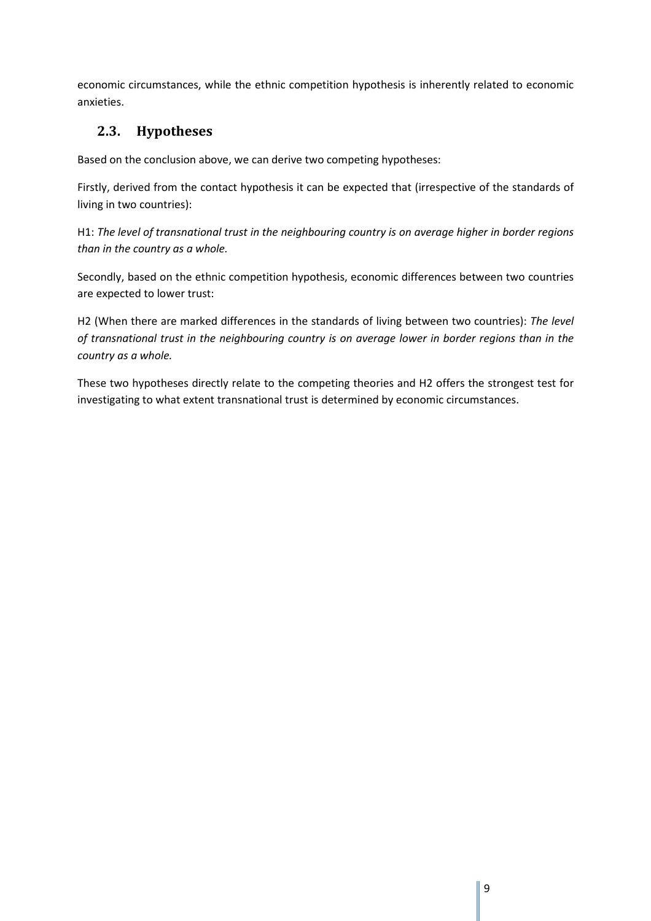economic circumstances, while the ethnic competition hypothesis is inherently related to economic anxieties.

# **2.3. Hypotheses**

Based on the conclusion above, we can derive two competing hypotheses:

Firstly, derived from the contact hypothesis it can be expected that (irrespective of the standards of living in two countries):

H1: *The level of transnational trust in the neighbouring country is on average higher in border regions than in the country as a whole.* 

Secondly, based on the ethnic competition hypothesis, economic differences between two countries are expected to lower trust:

H2 (When there are marked differences in the standards of living between two countries): *The level of transnational trust in the neighbouring country is on average lower in border regions than in the country as a whole.*

These two hypotheses directly relate to the competing theories and H2 offers the strongest test for investigating to what extent transnational trust is determined by economic circumstances.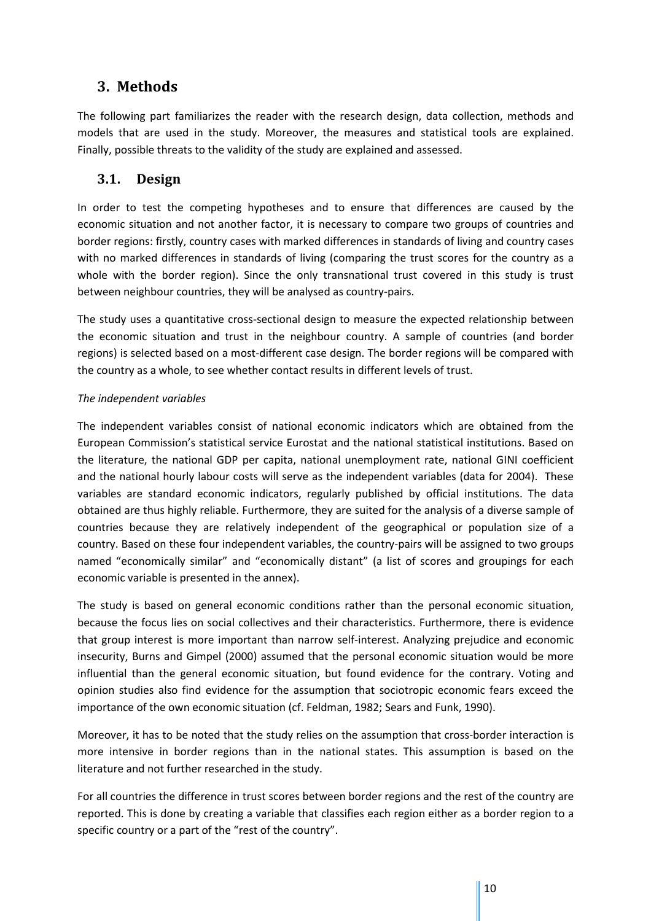# **3. Methods**

The following part familiarizes the reader with the research design, data collection, methods and models that are used in the study. Moreover, the measures and statistical tools are explained. Finally, possible threats to the validity of the study are explained and assessed.

# **3.1. Design**

In order to test the competing hypotheses and to ensure that differences are caused by the economic situation and not another factor, it is necessary to compare two groups of countries and border regions: firstly, country cases with marked differences in standards of living and country cases with no marked differences in standards of living (comparing the trust scores for the country as a whole with the border region). Since the only transnational trust covered in this study is trust between neighbour countries, they will be analysed as country-pairs.

The study uses a quantitative cross-sectional design to measure the expected relationship between the economic situation and trust in the neighbour country. A sample of countries (and border regions) is selected based on a most-different case design. The border regions will be compared with the country as a whole, to see whether contact results in different levels of trust.

## *The independent variables*

The independent variables consist of national economic indicators which are obtained from the European Commission's statistical service Eurostat and the national statistical institutions. Based on the literature, the national GDP per capita, national unemployment rate, national GINI coefficient and the national hourly labour costs will serve as the independent variables (data for 2004). These variables are standard economic indicators, regularly published by official institutions. The data obtained are thus highly reliable. Furthermore, they are suited for the analysis of a diverse sample of countries because they are relatively independent of the geographical or population size of a country. Based on these four independent variables, the country-pairs will be assigned to two groups named "economically similar" and "economically distant" (a list of scores and groupings for each economic variable is presented in the annex).

The study is based on general economic conditions rather than the personal economic situation, because the focus lies on social collectives and their characteristics. Furthermore, there is evidence that group interest is more important than narrow self-interest. Analyzing prejudice and economic insecurity, Burns and Gimpel (2000) assumed that the personal economic situation would be more influential than the general economic situation, but found evidence for the contrary. Voting and opinion studies also find evidence for the assumption that sociotropic economic fears exceed the importance of the own economic situation (cf. Feldman, 1982; Sears and Funk, 1990).

Moreover, it has to be noted that the study relies on the assumption that cross-border interaction is more intensive in border regions than in the national states. This assumption is based on the literature and not further researched in the study.

For all countries the difference in trust scores between border regions and the rest of the country are reported. This is done by creating a variable that classifies each region either as a border region to a specific country or a part of the "rest of the country".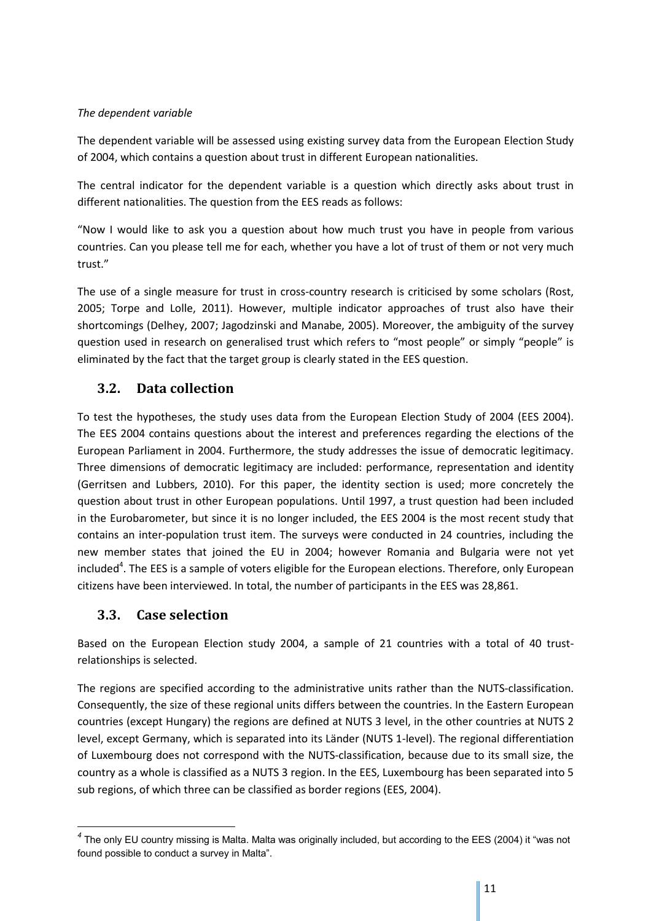#### *The dependent variable*

The dependent variable will be assessed using existing survey data from the European Election Study of 2004, which contains a question about trust in different European nationalities.

The central indicator for the dependent variable is a question which directly asks about trust in different nationalities. The question from the EES reads as follows:

"Now I would like to ask you a question about how much trust you have in people from various countries. Can you please tell me for each, whether you have a lot of trust of them or not very much trust."

The use of a single measure for trust in cross-country research is criticised by some scholars (Rost, 2005; Torpe and Lolle, 2011). However, multiple indicator approaches of trust also have their shortcomings (Delhey, 2007; Jagodzinski and Manabe, 2005). Moreover, the ambiguity of the survey question used in research on generalised trust which refers to "most people" or simply "people" is eliminated by the fact that the target group is clearly stated in the EES question.

# **3.2. Data collection**

To test the hypotheses, the study uses data from the European Election Study of 2004 (EES 2004). The EES 2004 contains questions about the interest and preferences regarding the elections of the European Parliament in 2004. Furthermore, the study addresses the issue of democratic legitimacy. Three dimensions of democratic legitimacy are included: performance, representation and identity (Gerritsen and Lubbers, 2010). For this paper, the identity section is used; more concretely the question about trust in other European populations. Until 1997, a trust question had been included in the Eurobarometer, but since it is no longer included, the EES 2004 is the most recent study that contains an inter-population trust item. The surveys were conducted in 24 countries, including the new member states that joined the EU in 2004; however Romania and Bulgaria were not yet included<sup>4</sup>. The EES is a sample of voters eligible for the European elections. Therefore, only European citizens have been interviewed. In total, the number of participants in the EES was 28,861.

# **3.3. Case selection**

 $\overline{a}$ 

Based on the European Election study 2004, a sample of 21 countries with a total of 40 trustrelationships is selected.

The regions are specified according to the administrative units rather than the NUTS-classification. Consequently, the size of these regional units differs between the countries. In the Eastern European countries (except Hungary) the regions are defined at NUTS 3 level, in the other countries at NUTS 2 level, except Germany, which is separated into its Länder (NUTS 1-level). The regional differentiation of Luxembourg does not correspond with the NUTS-classification, because due to its small size, the country as a whole is classified as a NUTS 3 region. In the EES, Luxembourg has been separated into 5 sub regions, of which three can be classified as border regions (EES, 2004).

*<sup>4</sup>* The only EU country missing is Malta. Malta was originally included, but according to the EES (2004) it "was not found possible to conduct a survey in Malta".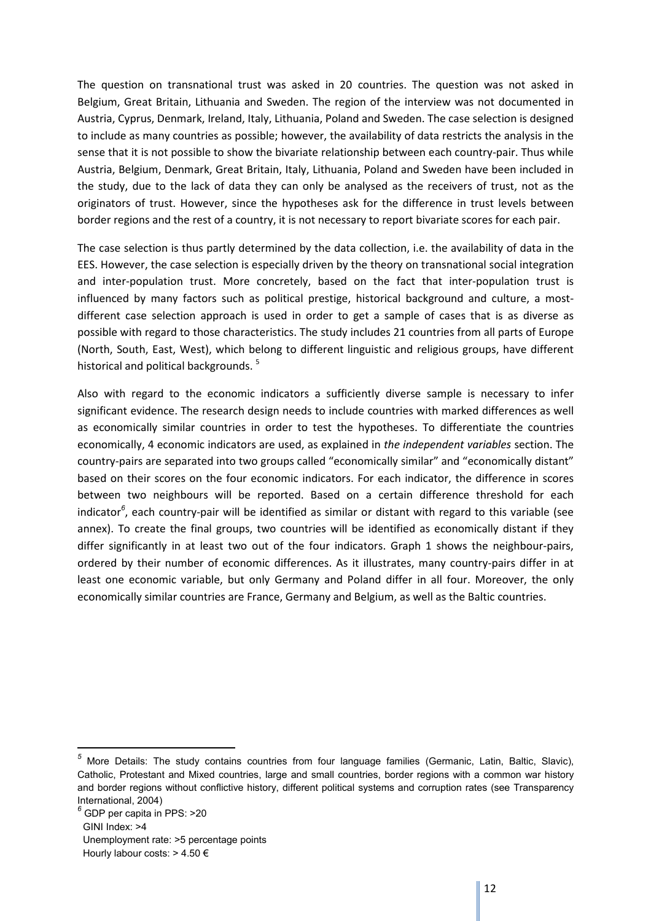The question on transnational trust was asked in 20 countries. The question was not asked in Belgium, Great Britain, Lithuania and Sweden. The region of the interview was not documented in Austria, Cyprus, Denmark, Ireland, Italy, Lithuania, Poland and Sweden. The case selection is designed to include as many countries as possible; however, the availability of data restricts the analysis in the sense that it is not possible to show the bivariate relationship between each country-pair. Thus while Austria, Belgium, Denmark, Great Britain, Italy, Lithuania, Poland and Sweden have been included in the study, due to the lack of data they can only be analysed as the receivers of trust, not as the originators of trust. However, since the hypotheses ask for the difference in trust levels between border regions and the rest of a country, it is not necessary to report bivariate scores for each pair.

The case selection is thus partly determined by the data collection, i.e. the availability of data in the EES. However, the case selection is especially driven by the theory on transnational social integration and inter-population trust. More concretely, based on the fact that inter-population trust is influenced by many factors such as political prestige, historical background and culture, a mostdifferent case selection approach is used in order to get a sample of cases that is as diverse as possible with regard to those characteristics. The study includes 21 countries from all parts of Europe (North, South, East, West), which belong to different linguistic and religious groups, have different historical and political backgrounds.<sup>5</sup>

Also with regard to the economic indicators a sufficiently diverse sample is necessary to infer significant evidence. The research design needs to include countries with marked differences as well as economically similar countries in order to test the hypotheses. To differentiate the countries economically, 4 economic indicators are used, as explained in *the independent variables* section. The country-pairs are separated into two groups called "economically similar" and "economically distant" based on their scores on the four economic indicators. For each indicator, the difference in scores between two neighbours will be reported. Based on a certain difference threshold for each indicator*<sup>6</sup>* , each country-pair will be identified as similar or distant with regard to this variable (see annex). To create the final groups, two countries will be identified as economically distant if they differ significantly in at least two out of the four indicators. Graph 1 shows the neighbour-pairs, ordered by their number of economic differences. As it illustrates, many country-pairs differ in at least one economic variable, but only Germany and Poland differ in all four. Moreover, the only economically similar countries are France, Germany and Belgium, as well as the Baltic countries.

*<sup>5</sup>* More Details: The study contains countries from four language families (Germanic, Latin, Baltic, Slavic), Catholic, Protestant and Mixed countries, large and small countries, border regions with a common war history and border regions without conflictive history, different political systems and corruption rates (see Transparency International, 2004)

*<sup>6</sup>* GDP per capita in PPS: >20 GINI Index: >4 Unemployment rate: >5 percentage points Hourly labour costs: > 4.50 €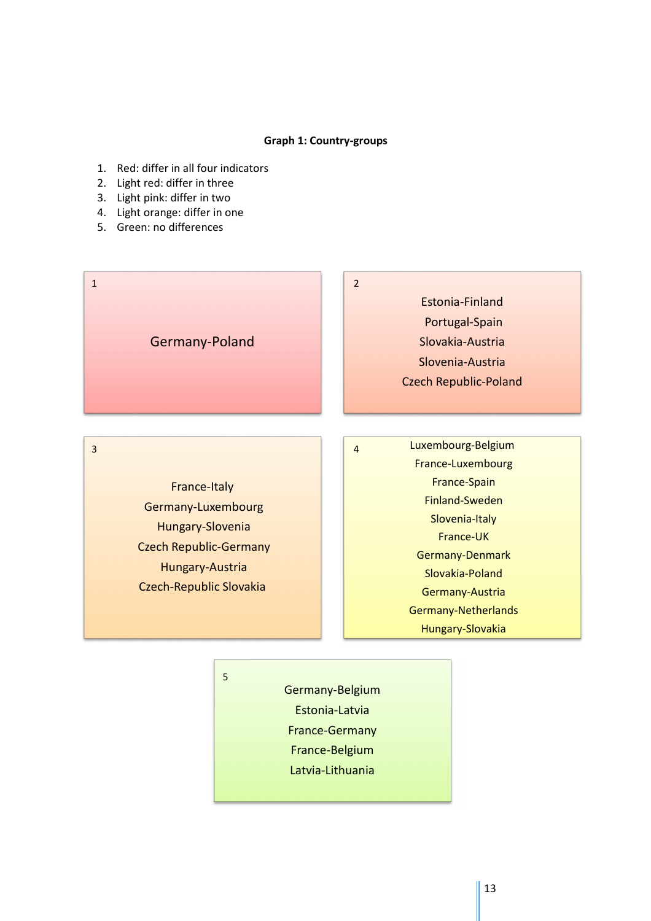#### **Graph 1: Country-groups**

- 1. Red: differ in all four indicators
- 2. Light red: differ in three
- 3. Light pink: differ in two
- 4. Light orange: differ in one
- 5. Green: no differences



France-Italy Germany-Luxembourg Hungary-Slovenia Czech Republic-Germany Hungary-Austria Czech-Republic Slovakia

5

3 and 2010 and 2010 and 2010 and 2010 and 2010 and 2010 and 2010 and 2010 and 2010 and 2010 and 2010 and 2010

Luxembourg-Belgium France-Luxembourg France-Spain Finland-Sweden Slovenia-Italy France-UK Germany-Denmark Slovakia-Poland Germany-Austria Germany-Netherlands Hungary-Slovakia

Germany-Belgium Estonia-Latvia France-Germany France-Belgium Latvia-Lithuania

13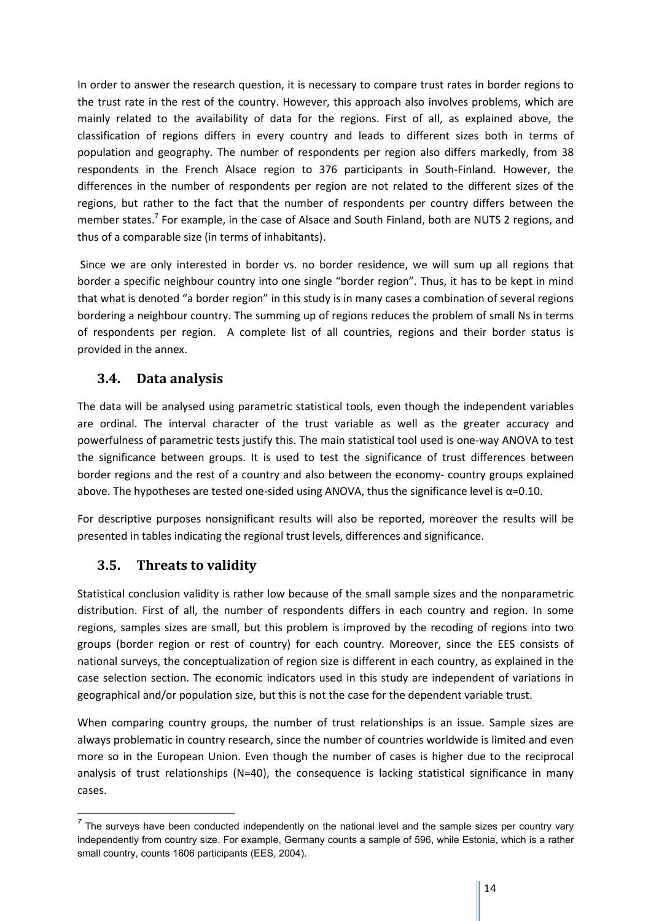In order to answer the research question, it is necessary to compare trust rates in border regions to the trust rate in the rest of the country. However, this approach also involves problems, which are mainly related to the availability of data for the regions. First of all, as explained above, the classification of regions differs in every country and leads to different sizes both in terms of population and geography. The number of respondents per region also differs markedly, from 38 respondents in the French Alsace region to 376 participants in South-Finland. However, the differences in the number of respondents per region are not related to the different sizes of the regions, but rather to the fact that the number of respondents per country differs between the member states.<sup>7</sup> For example, in the case of Alsace and South Finland, both are NUTS 2 regions, and thus of a comparable size (in terms of inhabitants).

 Since we are only interested in border vs. no border residence, we will sum up all regions that border a specific neighbour country into one single "border region". Thus, it has to be kept in mind that what is denoted "a border region" in this study is in many cases a combination of several regions bordering a neighbour country. The summing up of regions reduces the problem of small Ns in terms of respondents per region. A complete list of all countries, regions and their border status is provided in the annex.

# **3.4. Data analysis**

The data will be analysed using parametric statistical tools, even though the independent variables are ordinal. The interval character of the trust variable as well as the greater accuracy and powerfulness of parametric tests justify this. The main statistical tool used is one-way ANOVA to test the significance between groups. It is used to test the significance of trust differences between border regions and the rest of a country and also between the economy- country groups explained above. The hypotheses are tested one-sided using ANOVA, thus the significance level is α=0.10.

For descriptive purposes nonsignificant results will also be reported, moreover the results will be presented in tables indicating the regional trust levels, differences and significance.

# **3.5. Threats to validity**

 $\overline{a}$ 

Statistical conclusion validity is rather low because of the small sample sizes and the nonparametric distribution. First of all, the number of respondents differs in each country and region. In some regions, samples sizes are small, but this problem is improved by the recoding of regions into two groups (border region or rest of country) for each country. Moreover, since the EES consists of national surveys, the conceptualization of region size is different in each country, as explained in the case selection section. The economic indicators used in this study are independent of variations in geographical and/or population size, but this is not the case for the dependent variable trust.

When comparing country groups, the number of trust relationships is an issue. Sample sizes are always problematic in country research, since the number of countries worldwide is limited and even more so in the European Union. Even though the number of cases is higher due to the reciprocal analysis of trust relationships (N=40), the consequence is lacking statistical significance in many cases.

<sup>&</sup>lt;sup>7</sup> The surveys have been conducted independently on the national level and the sample sizes per country vary independently from country size. For example, Germany counts a sample of 596, while Estonia, which is a rather small country, counts 1606 participants (EES, 2004).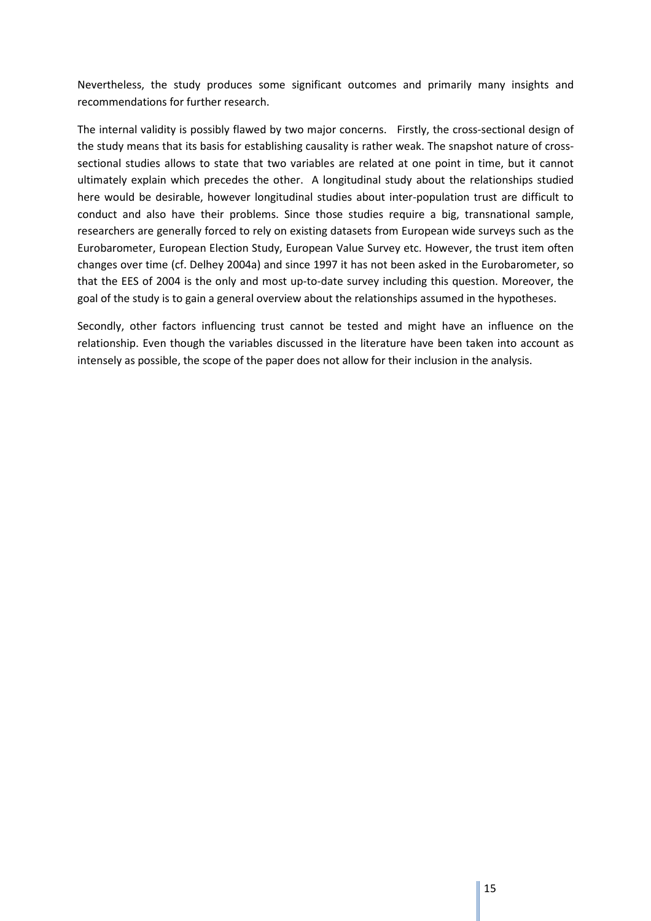Nevertheless, the study produces some significant outcomes and primarily many insights and recommendations for further research.

The internal validity is possibly flawed by two major concerns. Firstly, the cross-sectional design of the study means that its basis for establishing causality is rather weak. The snapshot nature of crosssectional studies allows to state that two variables are related at one point in time, but it cannot ultimately explain which precedes the other. A longitudinal study about the relationships studied here would be desirable, however longitudinal studies about inter-population trust are difficult to conduct and also have their problems. Since those studies require a big, transnational sample, researchers are generally forced to rely on existing datasets from European wide surveys such as the Eurobarometer, European Election Study, European Value Survey etc. However, the trust item often changes over time (cf. Delhey 2004a) and since 1997 it has not been asked in the Eurobarometer, so that the EES of 2004 is the only and most up-to-date survey including this question. Moreover, the goal of the study is to gain a general overview about the relationships assumed in the hypotheses.

Secondly, other factors influencing trust cannot be tested and might have an influence on the relationship. Even though the variables discussed in the literature have been taken into account as intensely as possible, the scope of the paper does not allow for their inclusion in the analysis.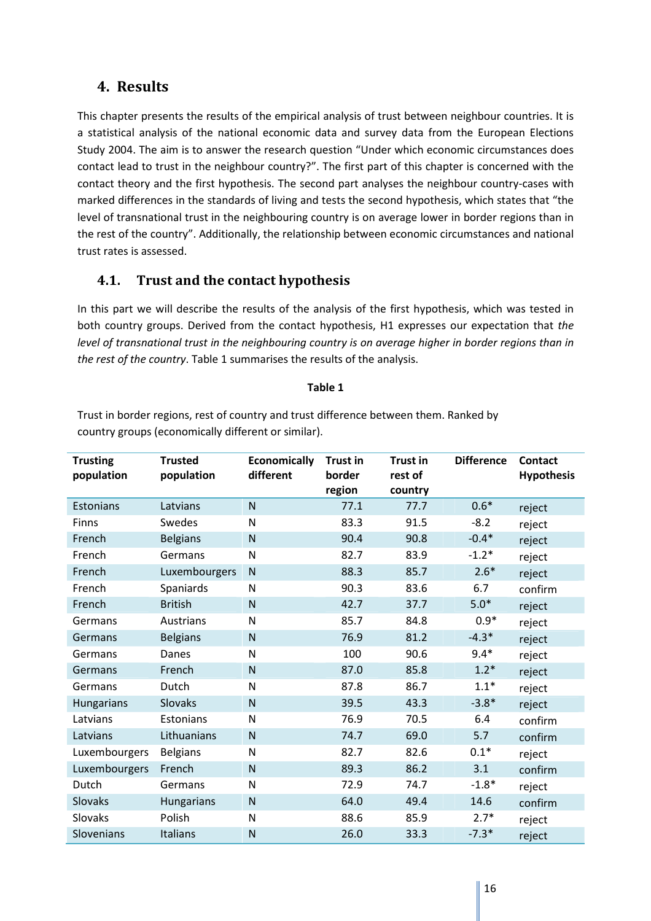# **4. Results**

This chapter presents the results of the empirical analysis of trust between neighbour countries. It is a statistical analysis of the national economic data and survey data from the European Elections Study 2004. The aim is to answer the research question "Under which economic circumstances does contact lead to trust in the neighbour country?". The first part of this chapter is concerned with the contact theory and the first hypothesis. The second part analyses the neighbour country-cases with marked differences in the standards of living and tests the second hypothesis, which states that "the level of transnational trust in the neighbouring country is on average lower in border regions than in the rest of the country". Additionally, the relationship between economic circumstances and national trust rates is assessed.

# **4.1. Trust and the contact hypothesis**

In this part we will describe the results of the analysis of the first hypothesis, which was tested in both country groups. Derived from the contact hypothesis, H1 expresses our expectation that *the level of transnational trust in the neighbouring country is on average higher in border regions than in the rest of the country*. Table 1 summarises the results of the analysis.

#### **Table 1**

Trust in border regions, rest of country and trust difference between them. Ranked by

| <b>Trusting</b><br>population | <b>Trusted</b><br>population | <b>Economically</b><br>different | <b>Trust in</b><br>border<br>region | <b>Trust in</b><br>rest of<br>country | <b>Difference</b> | <b>Contact</b><br><b>Hypothesis</b> |
|-------------------------------|------------------------------|----------------------------------|-------------------------------------|---------------------------------------|-------------------|-------------------------------------|
|                               |                              |                                  |                                     |                                       |                   |                                     |
| Estonians                     | Latvians                     | $\mathsf{N}$                     | 77.1                                | 77.7                                  | $0.6*$            | reject                              |
| Finns                         | Swedes                       | N                                | 83.3                                | 91.5                                  | $-8.2$            | reject                              |
| French                        | <b>Belgians</b>              | $\mathsf{N}$                     | 90.4                                | 90.8                                  | $-0.4*$           | reject                              |
| French                        | Germans                      | N                                | 82.7                                | 83.9                                  | $-1.2*$           | reject                              |
| French                        | Luxembourgers                | $\mathsf{N}$                     | 88.3                                | 85.7                                  | $2.6*$            | reject                              |
| French                        | Spaniards                    | N                                | 90.3                                | 83.6                                  | 6.7               | confirm                             |
| French                        | <b>British</b>               | $\mathsf{N}$                     | 42.7                                | 37.7                                  | $5.0*$            | reject                              |
| Germans                       | Austrians                    | $\mathsf{N}$                     | 85.7                                | 84.8                                  | $0.9*$            | reject                              |
| Germans                       | <b>Belgians</b>              | $\mathsf{N}$                     | 76.9                                | 81.2                                  | $-4.3*$           | reject                              |
| Germans                       | Danes                        | $\mathsf{N}$                     | 100                                 | 90.6                                  | $9.4*$            | reject                              |
| Germans                       | French                       | $\mathsf{N}$                     | 87.0                                | 85.8                                  | $1.2*$            | reject                              |
| Germans                       | Dutch                        | N                                | 87.8                                | 86.7                                  | $1.1*$            | reject                              |
| <b>Hungarians</b>             | Slovaks                      | $\mathsf{N}$                     | 39.5                                | 43.3                                  | $-3.8*$           | reject                              |
| Latvians                      | Estonians                    | $\mathsf{N}$                     | 76.9                                | 70.5                                  | 6.4               | confirm                             |
| Latvians                      | Lithuanians                  | $\mathsf{N}$                     | 74.7                                | 69.0                                  | 5.7               | confirm                             |
| Luxembourgers                 | <b>Belgians</b>              | N                                | 82.7                                | 82.6                                  | $0.1*$            | reject                              |
| Luxembourgers                 | French                       | $\mathsf{N}$                     | 89.3                                | 86.2                                  | 3.1               | confirm                             |
| Dutch                         | Germans                      | $\mathsf{N}$                     | 72.9                                | 74.7                                  | $-1.8*$           | reject                              |
| Slovaks                       | Hungarians                   | $\mathsf{N}$                     | 64.0                                | 49.4                                  | 14.6              | confirm                             |
| Slovaks                       | Polish                       | $\mathsf{N}$                     | 88.6                                | 85.9                                  | $2.7*$            | reject                              |
| Slovenians                    | Italians                     | N                                | 26.0                                | 33.3                                  | $-7.3*$           | reject                              |

country groups (economically different or similar).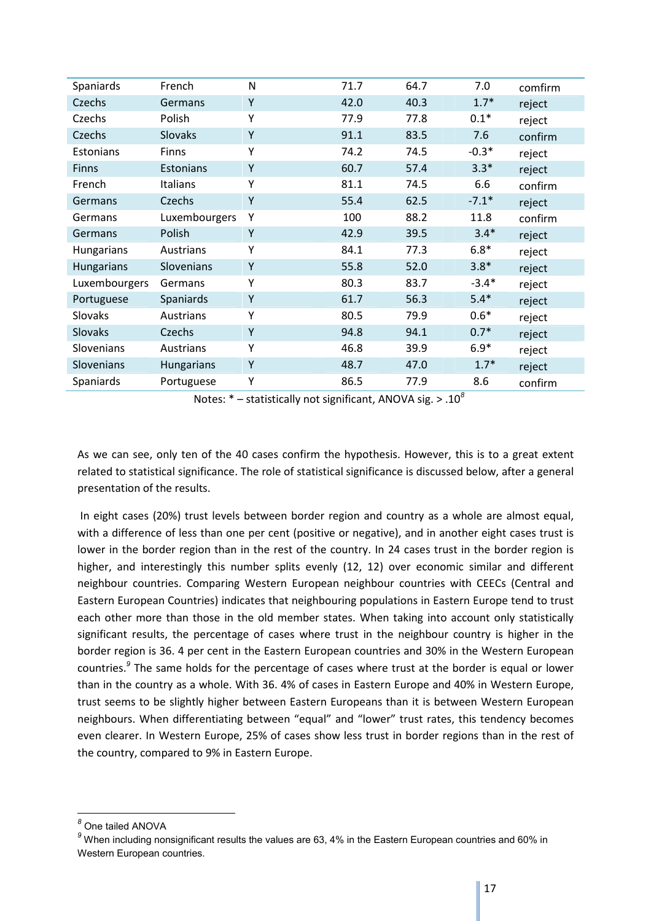| Spaniards         | French            | N | 71.7 | 64.7 | 7.0     | comfirm |
|-------------------|-------------------|---|------|------|---------|---------|
| Czechs            | Germans           | Υ | 42.0 | 40.3 | $1.7*$  | reject  |
| Czechs            | Polish            | Υ | 77.9 | 77.8 | $0.1*$  | reject  |
| Czechs            | Slovaks           | Υ | 91.1 | 83.5 | 7.6     | confirm |
| Estonians         | Finns             | Υ | 74.2 | 74.5 | $-0.3*$ | reject  |
| <b>Finns</b>      | Estonians         | Υ | 60.7 | 57.4 | $3.3*$  | reject  |
| French            | <b>Italians</b>   | Y | 81.1 | 74.5 | 6.6     | confirm |
| Germans           | Czechs            | Υ | 55.4 | 62.5 | $-7.1*$ | reject  |
| Germans           | Luxembourgers     | Υ | 100  | 88.2 | 11.8    | confirm |
| Germans           | Polish            | Y | 42.9 | 39.5 | $3.4*$  | reject  |
| <b>Hungarians</b> | Austrians         | Υ | 84.1 | 77.3 | $6.8*$  | reject  |
| <b>Hungarians</b> | Slovenians        | Y | 55.8 | 52.0 | $3.8*$  | reject  |
| Luxembourgers     | Germans           | Υ | 80.3 | 83.7 | $-3.4*$ | reject  |
| Portuguese        | Spaniards         | Υ | 61.7 | 56.3 | $5.4*$  | reject  |
| Slovaks           | Austrians         | Υ | 80.5 | 79.9 | $0.6*$  | reject  |
| <b>Slovaks</b>    | Czechs            | Υ | 94.8 | 94.1 | $0.7*$  | reject  |
| Slovenians        | Austrians         | Υ | 46.8 | 39.9 | $6.9*$  | reject  |
| Slovenians        | <b>Hungarians</b> | Υ | 48.7 | 47.0 | $1.7*$  | reject  |
| Spaniards         | Portuguese        | Υ | 86.5 | 77.9 | 8.6     | confirm |

Notes: \* – statistically not significant, ANOVA sig. > .10*<sup>8</sup>*

As we can see, only ten of the 40 cases confirm the hypothesis. However, this is to a great extent related to statistical significance. The role of statistical significance is discussed below, after a general presentation of the results.

 In eight cases (20%) trust levels between border region and country as a whole are almost equal, with a difference of less than one per cent (positive or negative), and in another eight cases trust is lower in the border region than in the rest of the country. In 24 cases trust in the border region is higher, and interestingly this number splits evenly (12, 12) over economic similar and different neighbour countries. Comparing Western European neighbour countries with CEECs (Central and Eastern European Countries) indicates that neighbouring populations in Eastern Europe tend to trust each other more than those in the old member states. When taking into account only statistically significant results, the percentage of cases where trust in the neighbour country is higher in the border region is 36. 4 per cent in the Eastern European countries and 30% in the Western European countries.*<sup>9</sup>* The same holds for the percentage of cases where trust at the border is equal or lower than in the country as a whole. With 36. 4% of cases in Eastern Europe and 40% in Western Europe, trust seems to be slightly higher between Eastern Europeans than it is between Western European neighbours. When differentiating between "equal" and "lower" trust rates, this tendency becomes even clearer. In Western Europe, 25% of cases show less trust in border regions than in the rest of the country, compared to 9% in Eastern Europe.

*<sup>8</sup>* One tailed ANOVA

<sup>&</sup>lt;sup>9</sup> When including nonsignificant results the values are 63, 4% in the Eastern European countries and 60% in Western European countries.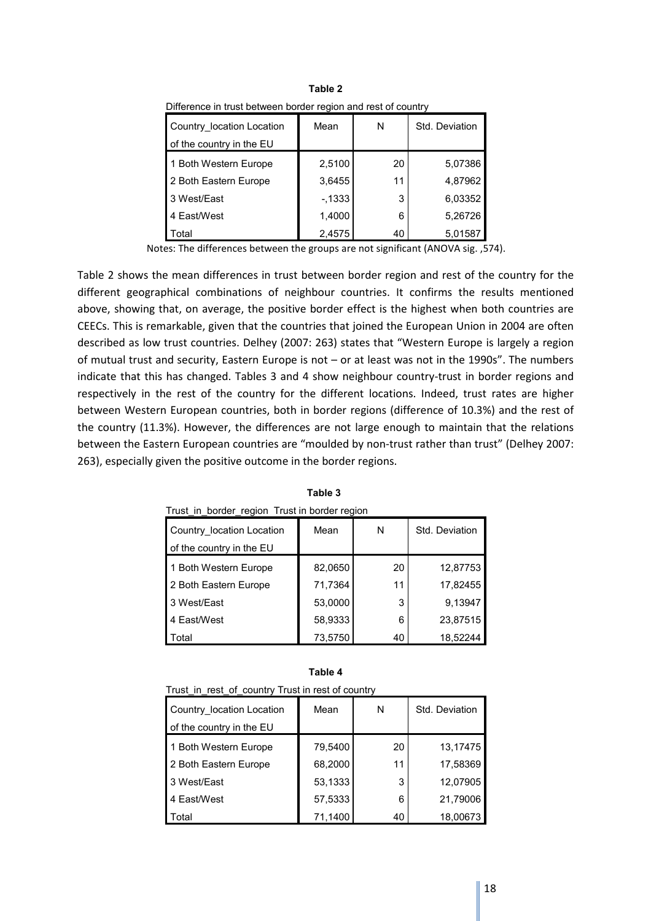| Difference in trust between border region and rest of country |         |    |                |  |  |  |  |
|---------------------------------------------------------------|---------|----|----------------|--|--|--|--|
| Country location Location                                     | Mean    | N  | Std. Deviation |  |  |  |  |
| of the country in the EU                                      |         |    |                |  |  |  |  |
| 1 Both Western Europe                                         | 2,5100  | 20 | 5,07386        |  |  |  |  |
| 2 Both Eastern Europe                                         | 3,6455  | 11 | 4,87962        |  |  |  |  |
| 3 West/East                                                   | $-1333$ | 3  | 6,03352        |  |  |  |  |
| 4 East/West                                                   | 1,4000  | 6  | 5,26726        |  |  |  |  |
| Total                                                         | 2,4575  | 40 | 5,01587        |  |  |  |  |

**Table 2** Difference in trust between border region and rest of country

Notes: The differences between the groups are not significant (ANOVA sig. ,574).

Table 2 shows the mean differences in trust between border region and rest of the country for the different geographical combinations of neighbour countries. It confirms the results mentioned above, showing that, on average, the positive border effect is the highest when both countries are CEECs. This is remarkable, given that the countries that joined the European Union in 2004 are often described as low trust countries. Delhey (2007: 263) states that "Western Europe is largely a region of mutual trust and security, Eastern Europe is not – or at least was not in the 1990s". The numbers indicate that this has changed. Tables 3 and 4 show neighbour country-trust in border regions and respectively in the rest of the country for the different locations. Indeed, trust rates are higher between Western European countries, both in border regions (difference of 10.3%) and the rest of the country (11.3%). However, the differences are not large enough to maintain that the relations between the Eastern European countries are "moulded by non-trust rather than trust" (Delhey 2007: 263), especially given the positive outcome in the border regions.

| Trust in border region Trust in border region         |         |    |                |  |  |  |
|-------------------------------------------------------|---------|----|----------------|--|--|--|
| Country location Location<br>of the country in the EU | Mean    | N  | Std. Deviation |  |  |  |
| 1 Both Western Europe                                 | 82,0650 | 20 | 12,87753       |  |  |  |
| 2 Both Eastern Europe                                 | 71,7364 | 11 | 17,82455       |  |  |  |
| 3 West/East                                           | 53,0000 | 3  | 9,13947        |  |  |  |
| 4 East/West                                           | 58,9333 | 6  | 23,87515       |  |  |  |
| Total                                                 | 73,5750 | 40 | 18,52244       |  |  |  |

**Table 3**

| Trust in rest of country Trust in rest of country |         |    |                |  |  |  |
|---------------------------------------------------|---------|----|----------------|--|--|--|
| Country location Location                         | Mean    | N  | Std. Deviation |  |  |  |
| of the country in the EU                          |         |    |                |  |  |  |
| 1 Both Western Europe                             | 79,5400 | 20 | 13,17475       |  |  |  |
| 2 Both Eastern Europe                             | 68,2000 | 11 | 17,58369       |  |  |  |
| 3 West/East                                       | 53,1333 | 3  | 12,07905       |  |  |  |
| 4 East/West                                       | 57,5333 | 6  | 21,79006       |  |  |  |
| Total                                             | 71,1400 | 40 | 18,00673       |  |  |  |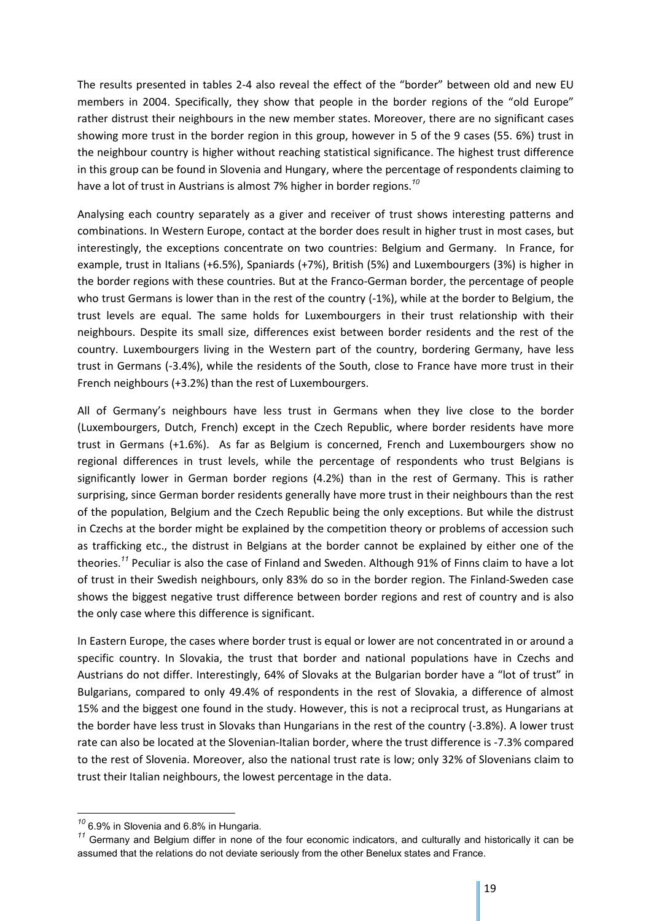The results presented in tables 2-4 also reveal the effect of the "border" between old and new EU members in 2004. Specifically, they show that people in the border regions of the "old Europe" rather distrust their neighbours in the new member states. Moreover, there are no significant cases showing more trust in the border region in this group, however in 5 of the 9 cases (55. 6%) trust in the neighbour country is higher without reaching statistical significance. The highest trust difference in this group can be found in Slovenia and Hungary, where the percentage of respondents claiming to have a lot of trust in Austrians is almost 7% higher in border regions.*<sup>10</sup>*

Analysing each country separately as a giver and receiver of trust shows interesting patterns and combinations. In Western Europe, contact at the border does result in higher trust in most cases, but interestingly, the exceptions concentrate on two countries: Belgium and Germany. In France, for example, trust in Italians (+6.5%), Spaniards (+7%), British (5%) and Luxembourgers (3%) is higher in the border regions with these countries. But at the Franco-German border, the percentage of people who trust Germans is lower than in the rest of the country (-1%), while at the border to Belgium, the trust levels are equal. The same holds for Luxembourgers in their trust relationship with their neighbours. Despite its small size, differences exist between border residents and the rest of the country. Luxembourgers living in the Western part of the country, bordering Germany, have less trust in Germans (-3.4%), while the residents of the South, close to France have more trust in their French neighbours (+3.2%) than the rest of Luxembourgers.

All of Germany's neighbours have less trust in Germans when they live close to the border (Luxembourgers, Dutch, French) except in the Czech Republic, where border residents have more trust in Germans (+1.6%). As far as Belgium is concerned, French and Luxembourgers show no regional differences in trust levels, while the percentage of respondents who trust Belgians is significantly lower in German border regions (4.2%) than in the rest of Germany. This is rather surprising, since German border residents generally have more trust in their neighbours than the rest of the population, Belgium and the Czech Republic being the only exceptions. But while the distrust in Czechs at the border might be explained by the competition theory or problems of accession such as trafficking etc., the distrust in Belgians at the border cannot be explained by either one of the theories.*<sup>11</sup>* Peculiar is also the case of Finland and Sweden. Although 91% of Finns claim to have a lot of trust in their Swedish neighbours, only 83% do so in the border region. The Finland-Sweden case shows the biggest negative trust difference between border regions and rest of country and is also the only case where this difference is significant.

In Eastern Europe, the cases where border trust is equal or lower are not concentrated in or around a specific country. In Slovakia, the trust that border and national populations have in Czechs and Austrians do not differ. Interestingly, 64% of Slovaks at the Bulgarian border have a "lot of trust" in Bulgarians, compared to only 49.4% of respondents in the rest of Slovakia, a difference of almost 15% and the biggest one found in the study. However, this is not a reciprocal trust, as Hungarians at the border have less trust in Slovaks than Hungarians in the rest of the country (-3.8%). A lower trust rate can also be located at the Slovenian-Italian border, where the trust difference is -7.3% compared to the rest of Slovenia. Moreover, also the national trust rate is low; only 32% of Slovenians claim to trust their Italian neighbours, the lowest percentage in the data.

*<sup>10</sup>* 6.9% in Slovenia and 6.8% in Hungaria.

*<sup>11</sup>* Germany and Belgium differ in none of the four economic indicators, and culturally and historically it can be assumed that the relations do not deviate seriously from the other Benelux states and France.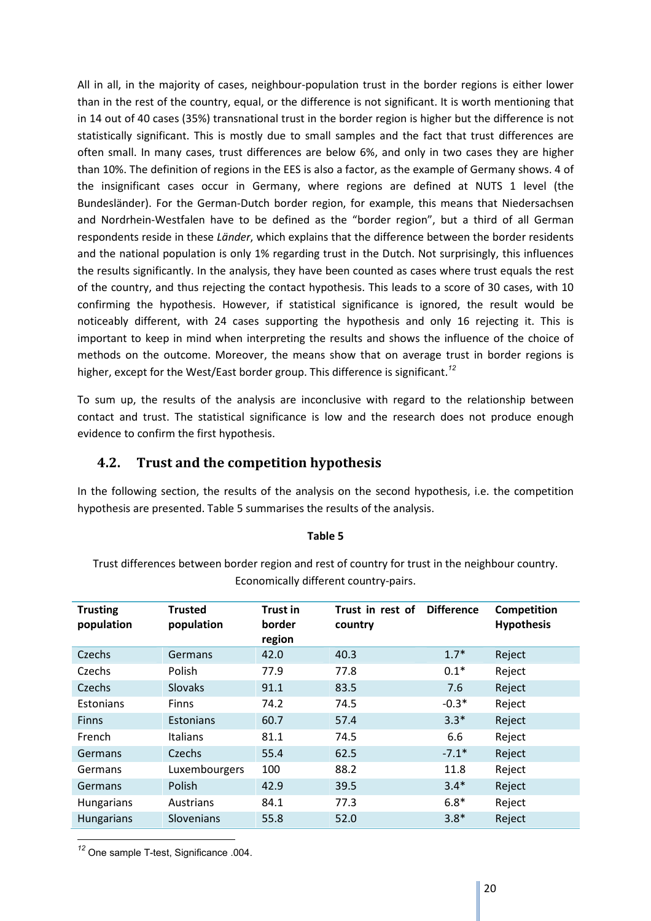All in all, in the majority of cases, neighbour-population trust in the border regions is either lower than in the rest of the country, equal, or the difference is not significant. It is worth mentioning that in 14 out of 40 cases (35%) transnational trust in the border region is higher but the difference is not statistically significant. This is mostly due to small samples and the fact that trust differences are often small. In many cases, trust differences are below 6%, and only in two cases they are higher than 10%. The definition of regions in the EES is also a factor, as the example of Germany shows. 4 of the insignificant cases occur in Germany, where regions are defined at NUTS 1 level (the Bundesländer). For the German-Dutch border region, for example, this means that Niedersachsen and Nordrhein-Westfalen have to be defined as the "border region", but a third of all German respondents reside in these *Länder*, which explains that the difference between the border residents and the national population is only 1% regarding trust in the Dutch. Not surprisingly, this influences the results significantly. In the analysis, they have been counted as cases where trust equals the rest of the country, and thus rejecting the contact hypothesis. This leads to a score of 30 cases, with 10 confirming the hypothesis. However, if statistical significance is ignored, the result would be noticeably different, with 24 cases supporting the hypothesis and only 16 rejecting it. This is important to keep in mind when interpreting the results and shows the influence of the choice of methods on the outcome. Moreover, the means show that on average trust in border regions is higher, except for the West/East border group. This difference is significant.*<sup>12</sup>*

To sum up, the results of the analysis are inconclusive with regard to the relationship between contact and trust. The statistical significance is low and the research does not produce enough evidence to confirm the first hypothesis.

# **4.2. Trust and the competition hypothesis**

In the following section, the results of the analysis on the second hypothesis, i.e. the competition hypothesis are presented. Table 5 summarises the results of the analysis.

#### **Table 5**

Trust differences between border region and rest of country for trust in the neighbour country. Economically different country-pairs.

| <b>Trusting</b><br>population | <b>Trusted</b><br>population | <b>Trust in</b><br>border<br>region | Trust in rest of<br>country | <b>Difference</b> | Competition<br><b>Hypothesis</b> |
|-------------------------------|------------------------------|-------------------------------------|-----------------------------|-------------------|----------------------------------|
| Czechs                        | Germans                      | 42.0                                | 40.3                        | $1.7*$            | Reject                           |
| Czechs                        | Polish                       | 77.9                                | 77.8                        | $0.1*$            | Reject                           |
| Czechs                        | <b>Slovaks</b>               | 91.1                                | 83.5                        | 7.6               | Reject                           |
| Estonians                     | <b>Finns</b>                 | 74.2                                | 74.5                        | $-0.3*$           | Reject                           |
| <b>Finns</b>                  | Estonians                    | 60.7                                | 57.4                        | $3.3*$            | Reject                           |
| French                        | <b>Italians</b>              | 81.1                                | 74.5                        | 6.6               | Reject                           |
| Germans                       | Czechs                       | 55.4                                | 62.5                        | $-7.1*$           | Reject                           |
| Germans                       | Luxembourgers                | 100                                 | 88.2                        | 11.8              | Reject                           |
| Germans                       | Polish                       | 42.9                                | 39.5                        | $3.4*$            | Reject                           |
| Hungarians                    | Austrians                    | 84.1                                | 77.3                        | $6.8*$            | Reject                           |
| <b>Hungarians</b>             | Slovenians                   | 55.8                                | 52.0                        | $3.8*$            | Reject                           |

*<sup>12</sup>* One sample T-test, Significance .004.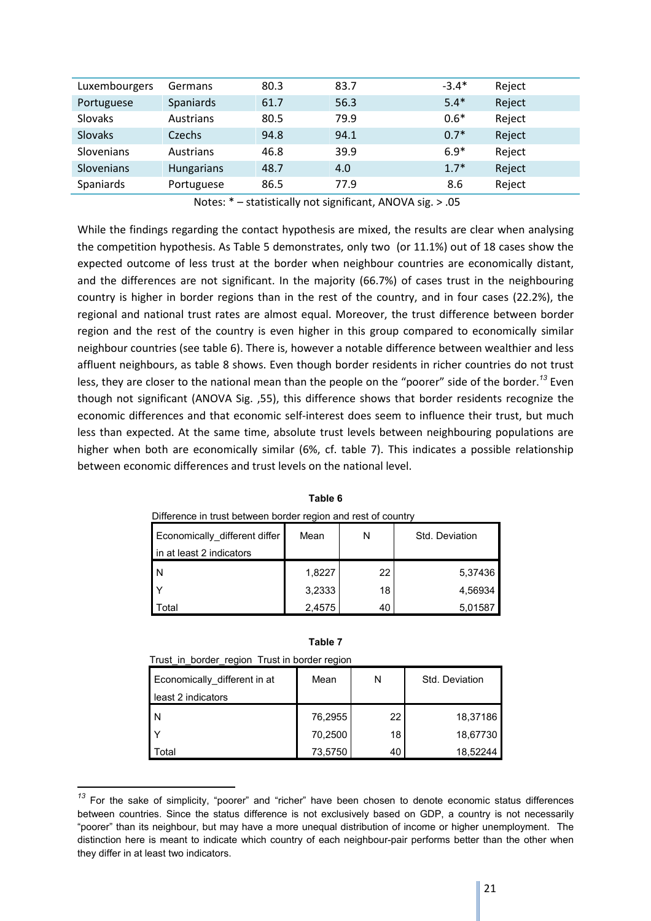| Luxembourgers  | Germans           | 80.3 | 83.7 | $-3.4*$ | Reject |
|----------------|-------------------|------|------|---------|--------|
|                |                   |      |      |         |        |
| Portuguese     | Spaniards         | 61.7 | 56.3 | $5.4*$  | Reject |
| <b>Slovaks</b> | Austrians         | 80.5 | 79.9 | $0.6*$  | Reject |
| <b>Slovaks</b> | Czechs            | 94.8 | 94.1 | $0.7*$  | Reject |
| Slovenians     | Austrians         | 46.8 | 39.9 | $6.9*$  | Reject |
| Slovenians     | <b>Hungarians</b> | 48.7 | 4.0  | $1.7*$  | Reject |
| Spaniards      | Portuguese        | 86.5 | 77.9 | 8.6     | Reject |

Notes: \* – statistically not significant, ANOVA sig. > .05

While the findings regarding the contact hypothesis are mixed, the results are clear when analysing the competition hypothesis. As Table 5 demonstrates, only two (or 11.1%) out of 18 cases show the expected outcome of less trust at the border when neighbour countries are economically distant, and the differences are not significant. In the majority (66.7%) of cases trust in the neighbouring country is higher in border regions than in the rest of the country, and in four cases (22.2%), the regional and national trust rates are almost equal. Moreover, the trust difference between border region and the rest of the country is even higher in this group compared to economically similar neighbour countries (see table 6). There is, however a notable difference between wealthier and less affluent neighbours, as table 8 shows. Even though border residents in richer countries do not trust less, they are closer to the national mean than the people on the "poorer" side of the border.*<sup>13</sup>* Even though not significant (ANOVA Sig. ,55), this difference shows that border residents recognize the economic differences and that economic self-interest does seem to influence their trust, but much less than expected. At the same time, absolute trust levels between neighbouring populations are higher when both are economically similar (6%, cf. table 7). This indicates a possible relationship between economic differences and trust levels on the national level.

| Difference in trust between border region and rest of country |        |    |                |  |  |
|---------------------------------------------------------------|--------|----|----------------|--|--|
| Economically_different differ                                 | Mean   | N  | Std. Deviation |  |  |
| in at least 2 indicators                                      |        |    |                |  |  |
| l N                                                           | 1,8227 | 22 | 5,37436        |  |  |
|                                                               | 3,2333 | 18 | 4,56934        |  |  |
| otal <sup>.</sup>                                             | 2,4575 | 40 | 5,01587        |  |  |

**Table 6**

| ×<br>۹<br>. .<br>۰, |
|---------------------|
|---------------------|

Trust in border region Trust in border region

| Economically_different in at | Mean    | N  | Std. Deviation |
|------------------------------|---------|----|----------------|
| least 2 indicators           |         |    |                |
| N                            | 76,2955 | 22 | 18,37186       |
|                              | 70,2500 | 18 | 18,67730       |
| ʻotal                        | 73,5750 | 40 | 18.52244       |

*<sup>13</sup>* For the sake of simplicity, "poorer" and "richer" have been chosen to denote economic status differences between countries. Since the status difference is not exclusively based on GDP, a country is not necessarily "poorer" than its neighbour, but may have a more unequal distribution of income or higher unemployment. The distinction here is meant to indicate which country of each neighbour-pair performs better than the other when they differ in at least two indicators.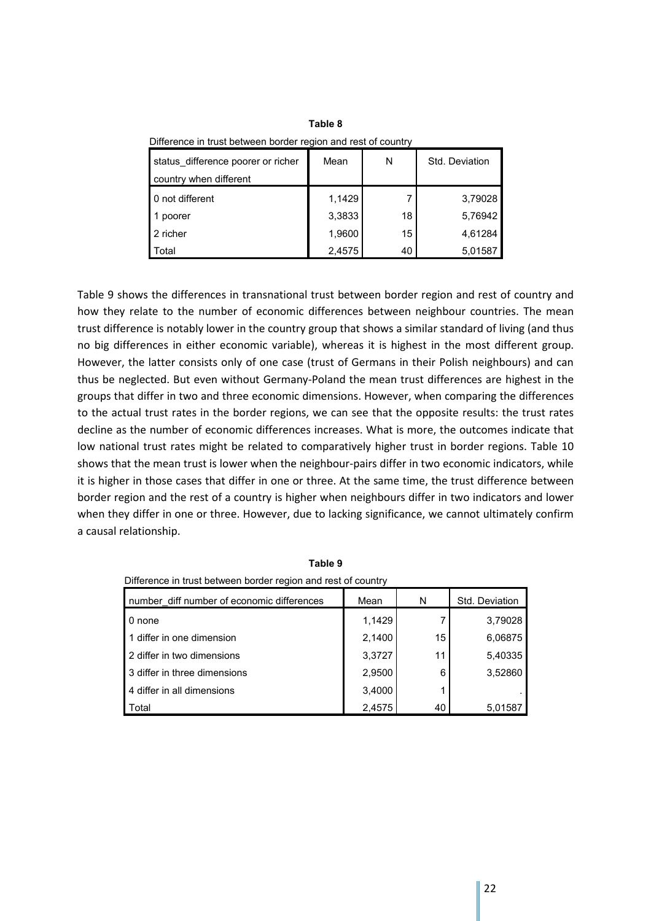| status difference poorer or richer<br>country when different | Mean   | N  | Std. Deviation |
|--------------------------------------------------------------|--------|----|----------------|
| 0 not different                                              | 1,1429 |    | 3,79028        |
| poorer                                                       | 3,3833 | 18 | 5,76942        |
| 2 richer                                                     | 1,9600 | 15 | 4,61284        |
| Total                                                        | 2,4575 | 40 | 5,01587        |

**Table 8** Difference in trust between border region and rest of country

Table 9 shows the differences in transnational trust between border region and rest of country and how they relate to the number of economic differences between neighbour countries. The mean trust difference is notably lower in the country group that shows a similar standard of living (and thus no big differences in either economic variable), whereas it is highest in the most different group. However, the latter consists only of one case (trust of Germans in their Polish neighbours) and can thus be neglected. But even without Germany-Poland the mean trust differences are highest in the groups that differ in two and three economic dimensions. However, when comparing the differences to the actual trust rates in the border regions, we can see that the opposite results: the trust rates decline as the number of economic differences increases. What is more, the outcomes indicate that low national trust rates might be related to comparatively higher trust in border regions. Table 10 shows that the mean trust is lower when the neighbour-pairs differ in two economic indicators, while it is higher in those cases that differ in one or three. At the same time, the trust difference between border region and the rest of a country is higher when neighbours differ in two indicators and lower when they differ in one or three. However, due to lacking significance, we cannot ultimately confirm a causal relationship.

| number diff number of economic differences | Mean   | N  | Std. Deviation |
|--------------------------------------------|--------|----|----------------|
| 0 none                                     | 1,1429 |    | 3,79028        |
| 1 differ in one dimension                  | 2,1400 | 15 | 6,06875        |
| 2 differ in two dimensions                 | 3,3727 | 11 | 5,40335        |
| 3 differ in three dimensions               | 2,9500 | 6  | 3,52860        |
| 4 differ in all dimensions                 | 3,4000 |    |                |
| Total                                      | 2,4575 | 40 | 5,01587        |

**Table 9** Difference in trust between border region and rest of country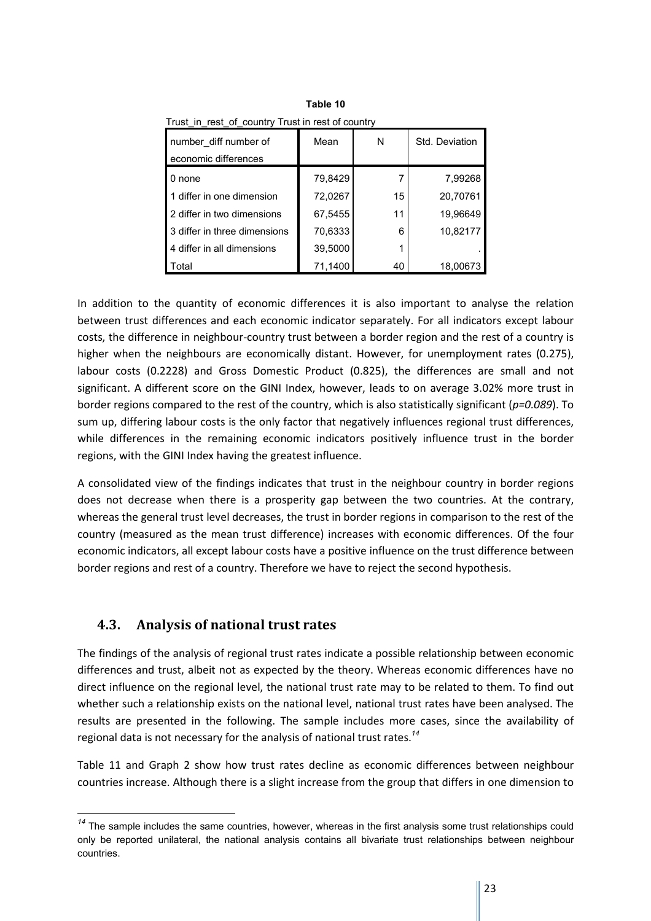| Trust in rest of country frust in rest of country |         |    |                |
|---------------------------------------------------|---------|----|----------------|
| number diff number of                             | Mean    | N  | Std. Deviation |
| economic differences                              |         |    |                |
| 0 none                                            | 79,8429 |    | 7,99268        |
| 1 differ in one dimension                         | 72,0267 | 15 | 20,70761       |
| 2 differ in two dimensions                        | 67,5455 | 11 | 19,96649       |
| 3 differ in three dimensions                      | 70,6333 | 6  | 10,82177       |
| 4 differ in all dimensions                        | 39,5000 |    |                |
| Total                                             | 71,1400 | 40 | 18,00673       |

**Table 10** Trust\_in\_rest\_of\_country Trust in rest of country

In addition to the quantity of economic differences it is also important to analyse the relation between trust differences and each economic indicator separately. For all indicators except labour costs, the difference in neighbour-country trust between a border region and the rest of a country is higher when the neighbours are economically distant. However, for unemployment rates (0.275), labour costs (0.2228) and Gross Domestic Product (0.825), the differences are small and not significant. A different score on the GINI Index, however, leads to on average 3.02% more trust in border regions compared to the rest of the country, which is also statistically significant (*p=0.089*). To sum up, differing labour costs is the only factor that negatively influences regional trust differences, while differences in the remaining economic indicators positively influence trust in the border regions, with the GINI Index having the greatest influence.

A consolidated view of the findings indicates that trust in the neighbour country in border regions does not decrease when there is a prosperity gap between the two countries. At the contrary, whereas the general trust level decreases, the trust in border regions in comparison to the rest of the country (measured as the mean trust difference) increases with economic differences. Of the four economic indicators, all except labour costs have a positive influence on the trust difference between border regions and rest of a country. Therefore we have to reject the second hypothesis.

# **4.3. Analysis of national trust rates**

 $\overline{a}$ 

The findings of the analysis of regional trust rates indicate a possible relationship between economic differences and trust, albeit not as expected by the theory. Whereas economic differences have no direct influence on the regional level, the national trust rate may to be related to them. To find out whether such a relationship exists on the national level, national trust rates have been analysed. The results are presented in the following. The sample includes more cases, since the availability of regional data is not necessary for the analysis of national trust rates.*<sup>14</sup>*

Table 11 and Graph 2 show how trust rates decline as economic differences between neighbour countries increase. Although there is a slight increase from the group that differs in one dimension to

<sup>&</sup>lt;sup>14</sup> The sample includes the same countries, however, whereas in the first analysis some trust relationships could only be reported unilateral, the national analysis contains all bivariate trust relationships between neighbour countries.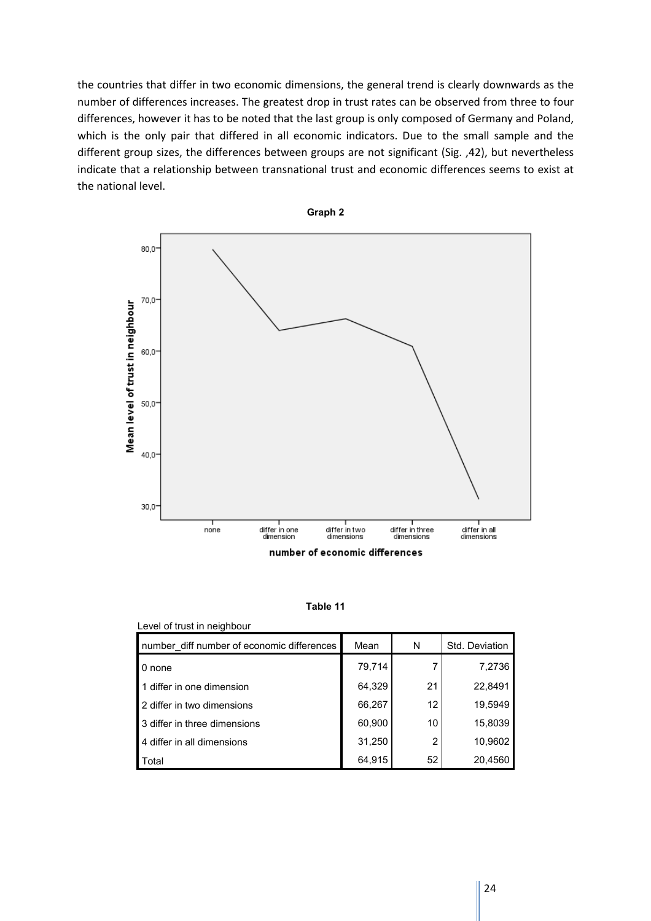the countries that differ in two economic dimensions, the general trend is clearly downwards as the number of differences increases. The greatest drop in trust rates can be observed from three to four differences, however it has to be noted that the last group is only composed of Germany and Poland, which is the only pair that differed in all economic indicators. Due to the small sample and the different group sizes, the differences between groups are not significant (Sig. ,42), but nevertheless indicate that a relationship between transnational trust and economic differences seems to exist at the national level.



**Table 11**

| Level of trust in neighbour                |        |    |                |
|--------------------------------------------|--------|----|----------------|
| number diff number of economic differences | Mean   | N  | Std. Deviation |
| 0 none                                     | 79,714 |    | 7,2736         |
| 1 differ in one dimension                  | 64,329 | 21 | 22,8491        |
| 2 differ in two dimensions                 | 66,267 | 12 | 19,5949        |
| 3 differ in three dimensions               | 60,900 | 10 | 15,8039        |
| 4 differ in all dimensions                 | 31,250 | 2  | 10,9602        |
| Total                                      | 64,915 | 52 | 20,4560        |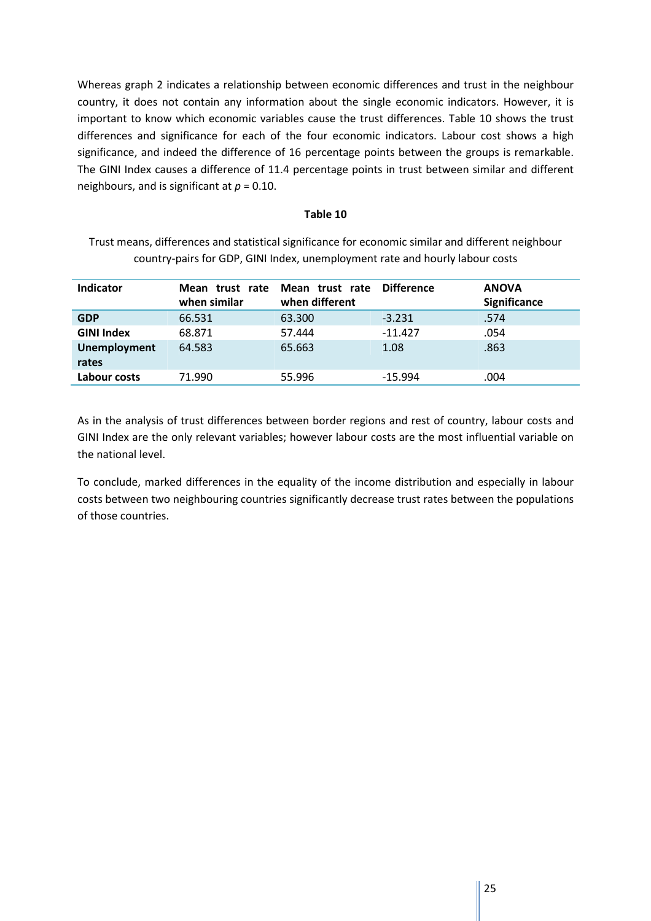Whereas graph 2 indicates a relationship between economic differences and trust in the neighbour country, it does not contain any information about the single economic indicators. However, it is important to know which economic variables cause the trust differences. Table 10 shows the trust differences and significance for each of the four economic indicators. Labour cost shows a high significance, and indeed the difference of 16 percentage points between the groups is remarkable. The GINI Index causes a difference of 11.4 percentage points in trust between similar and different neighbours, and is significant at *p* = 0.10.

#### **Table 10**

Trust means, differences and statistical significance for economic similar and different neighbour country-pairs for GDP, GINI Index, unemployment rate and hourly labour costs

| Indicator                     | Mean trust rate<br>when similar | <b>Difference</b><br>Mean trust rate<br>when different | <b>ANOVA</b> | <b>Significance</b> |
|-------------------------------|---------------------------------|--------------------------------------------------------|--------------|---------------------|
| 66.531<br><b>GDP</b>          | 63.300                          | $-3.231$                                               | .574         |                     |
| <b>GINI Index</b><br>68.871   | 57.444                          | $-11.427$                                              | .054         |                     |
| <b>Unemployment</b><br>64.583 | 65.663                          | 1.08                                                   | .863         |                     |
| rates                         |                                 |                                                        |              |                     |
| 71.990<br>Labour costs        | 55.996                          | $-15.994$                                              | .004         |                     |

As in the analysis of trust differences between border regions and rest of country, labour costs and GINI Index are the only relevant variables; however labour costs are the most influential variable on the national level.

To conclude, marked differences in the equality of the income distribution and especially in labour costs between two neighbouring countries significantly decrease trust rates between the populations of those countries.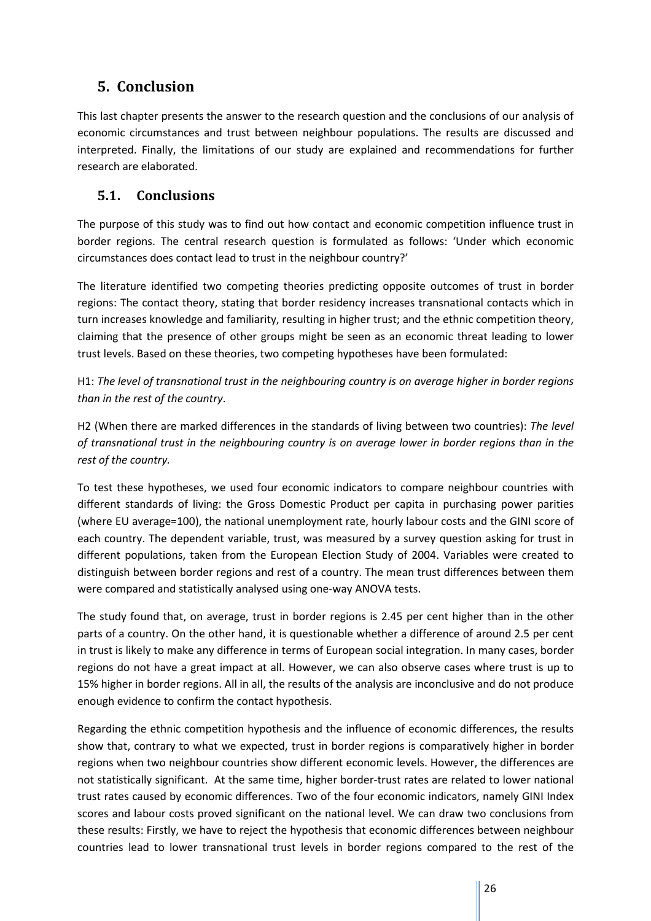# **5. Conclusion**

This last chapter presents the answer to the research question and the conclusions of our analysis of economic circumstances and trust between neighbour populations. The results are discussed and interpreted. Finally, the limitations of our study are explained and recommendations for further research are elaborated.

# **5.1. Conclusions**

The purpose of this study was to find out how contact and economic competition influence trust in border regions. The central research question is formulated as follows: 'Under which economic circumstances does contact lead to trust in the neighbour country?'

The literature identified two competing theories predicting opposite outcomes of trust in border regions: The contact theory, stating that border residency increases transnational contacts which in turn increases knowledge and familiarity, resulting in higher trust; and the ethnic competition theory, claiming that the presence of other groups might be seen as an economic threat leading to lower trust levels. Based on these theories, two competing hypotheses have been formulated:

H1: *The level of transnational trust in the neighbouring country is on average higher in border regions than in the rest of the country*.

H2 (When there are marked differences in the standards of living between two countries): *The level of transnational trust in the neighbouring country is on average lower in border regions than in the rest of the country.* 

To test these hypotheses, we used four economic indicators to compare neighbour countries with different standards of living: the Gross Domestic Product per capita in purchasing power parities (where EU average=100), the national unemployment rate, hourly labour costs and the GINI score of each country. The dependent variable, trust, was measured by a survey question asking for trust in different populations, taken from the European Election Study of 2004. Variables were created to distinguish between border regions and rest of a country. The mean trust differences between them were compared and statistically analysed using one-way ANOVA tests.

The study found that, on average, trust in border regions is 2.45 per cent higher than in the other parts of a country. On the other hand, it is questionable whether a difference of around 2.5 per cent in trust is likely to make any difference in terms of European social integration. In many cases, border regions do not have a great impact at all. However, we can also observe cases where trust is up to 15% higher in border regions. All in all, the results of the analysis are inconclusive and do not produce enough evidence to confirm the contact hypothesis.

Regarding the ethnic competition hypothesis and the influence of economic differences, the results show that, contrary to what we expected, trust in border regions is comparatively higher in border regions when two neighbour countries show different economic levels. However, the differences are not statistically significant. At the same time, higher border-trust rates are related to lower national trust rates caused by economic differences. Two of the four economic indicators, namely GINI Index scores and labour costs proved significant on the national level. We can draw two conclusions from these results: Firstly, we have to reject the hypothesis that economic differences between neighbour countries lead to lower transnational trust levels in border regions compared to the rest of the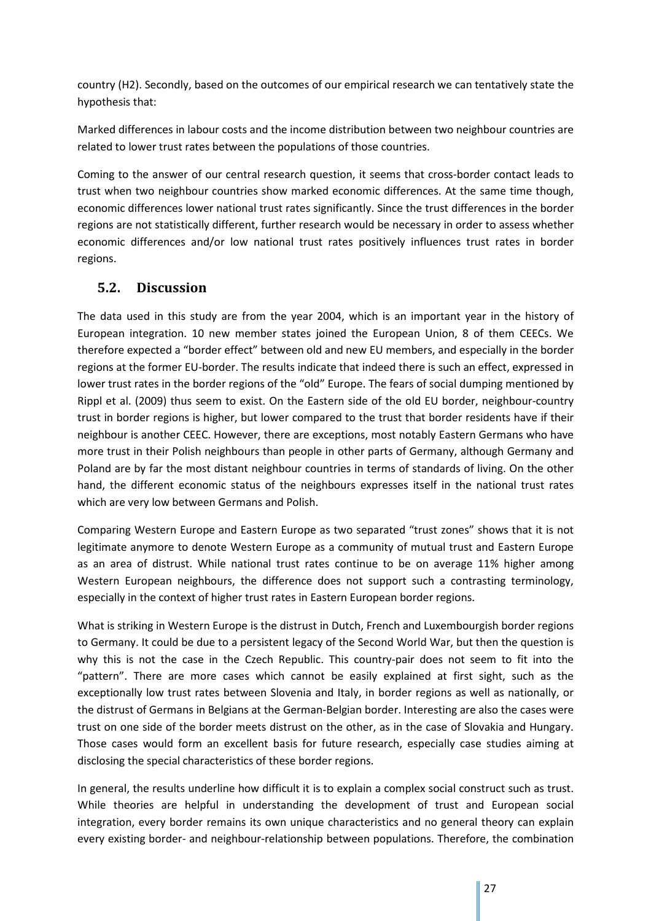country (H2). Secondly, based on the outcomes of our empirical research we can tentatively state the hypothesis that:

Marked differences in labour costs and the income distribution between two neighbour countries are related to lower trust rates between the populations of those countries.

Coming to the answer of our central research question, it seems that cross-border contact leads to trust when two neighbour countries show marked economic differences. At the same time though, economic differences lower national trust rates significantly. Since the trust differences in the border regions are not statistically different, further research would be necessary in order to assess whether economic differences and/or low national trust rates positively influences trust rates in border regions.

# **5.2. Discussion**

The data used in this study are from the year 2004, which is an important year in the history of European integration. 10 new member states joined the European Union, 8 of them CEECs. We therefore expected a "border effect" between old and new EU members, and especially in the border regions at the former EU-border. The results indicate that indeed there is such an effect, expressed in lower trust rates in the border regions of the "old" Europe. The fears of social dumping mentioned by Rippl et al. (2009) thus seem to exist. On the Eastern side of the old EU border, neighbour-country trust in border regions is higher, but lower compared to the trust that border residents have if their neighbour is another CEEC. However, there are exceptions, most notably Eastern Germans who have more trust in their Polish neighbours than people in other parts of Germany, although Germany and Poland are by far the most distant neighbour countries in terms of standards of living. On the other hand, the different economic status of the neighbours expresses itself in the national trust rates which are very low between Germans and Polish.

Comparing Western Europe and Eastern Europe as two separated "trust zones" shows that it is not legitimate anymore to denote Western Europe as a community of mutual trust and Eastern Europe as an area of distrust. While national trust rates continue to be on average 11% higher among Western European neighbours, the difference does not support such a contrasting terminology, especially in the context of higher trust rates in Eastern European border regions.

What is striking in Western Europe is the distrust in Dutch, French and Luxembourgish border regions to Germany. It could be due to a persistent legacy of the Second World War, but then the question is why this is not the case in the Czech Republic. This country-pair does not seem to fit into the "pattern". There are more cases which cannot be easily explained at first sight, such as the exceptionally low trust rates between Slovenia and Italy, in border regions as well as nationally, or the distrust of Germans in Belgians at the German-Belgian border. Interesting are also the cases were trust on one side of the border meets distrust on the other, as in the case of Slovakia and Hungary. Those cases would form an excellent basis for future research, especially case studies aiming at disclosing the special characteristics of these border regions.

In general, the results underline how difficult it is to explain a complex social construct such as trust. While theories are helpful in understanding the development of trust and European social integration, every border remains its own unique characteristics and no general theory can explain every existing border- and neighbour-relationship between populations. Therefore, the combination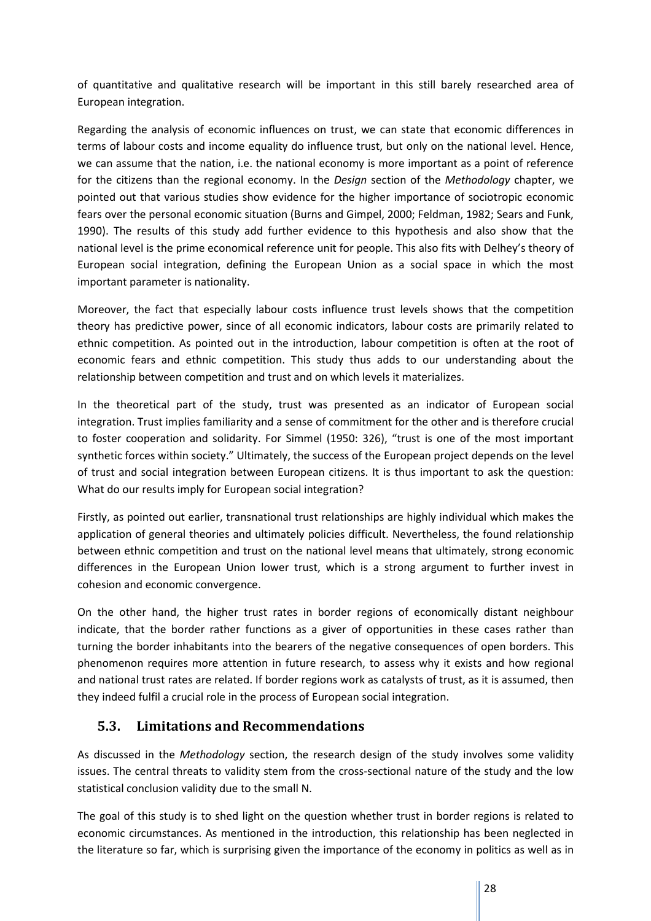of quantitative and qualitative research will be important in this still barely researched area of European integration.

Regarding the analysis of economic influences on trust, we can state that economic differences in terms of labour costs and income equality do influence trust, but only on the national level. Hence, we can assume that the nation, i.e. the national economy is more important as a point of reference for the citizens than the regional economy. In the *Design* section of the *Methodology* chapter, we pointed out that various studies show evidence for the higher importance of sociotropic economic fears over the personal economic situation (Burns and Gimpel, 2000; Feldman, 1982; Sears and Funk, 1990). The results of this study add further evidence to this hypothesis and also show that the national level is the prime economical reference unit for people. This also fits with Delhey's theory of European social integration, defining the European Union as a social space in which the most important parameter is nationality.

Moreover, the fact that especially labour costs influence trust levels shows that the competition theory has predictive power, since of all economic indicators, labour costs are primarily related to ethnic competition. As pointed out in the introduction, labour competition is often at the root of economic fears and ethnic competition. This study thus adds to our understanding about the relationship between competition and trust and on which levels it materializes.

In the theoretical part of the study, trust was presented as an indicator of European social integration. Trust implies familiarity and a sense of commitment for the other and is therefore crucial to foster cooperation and solidarity. For Simmel (1950: 326), "trust is one of the most important synthetic forces within society." Ultimately, the success of the European project depends on the level of trust and social integration between European citizens. It is thus important to ask the question: What do our results imply for European social integration?

Firstly, as pointed out earlier, transnational trust relationships are highly individual which makes the application of general theories and ultimately policies difficult. Nevertheless, the found relationship between ethnic competition and trust on the national level means that ultimately, strong economic differences in the European Union lower trust, which is a strong argument to further invest in cohesion and economic convergence.

On the other hand, the higher trust rates in border regions of economically distant neighbour indicate, that the border rather functions as a giver of opportunities in these cases rather than turning the border inhabitants into the bearers of the negative consequences of open borders. This phenomenon requires more attention in future research, to assess why it exists and how regional and national trust rates are related. If border regions work as catalysts of trust, as it is assumed, then they indeed fulfil a crucial role in the process of European social integration.

# **5.3. Limitations and Recommendations**

As discussed in the *Methodology* section, the research design of the study involves some validity issues. The central threats to validity stem from the cross-sectional nature of the study and the low statistical conclusion validity due to the small N.

The goal of this study is to shed light on the question whether trust in border regions is related to economic circumstances. As mentioned in the introduction, this relationship has been neglected in the literature so far, which is surprising given the importance of the economy in politics as well as in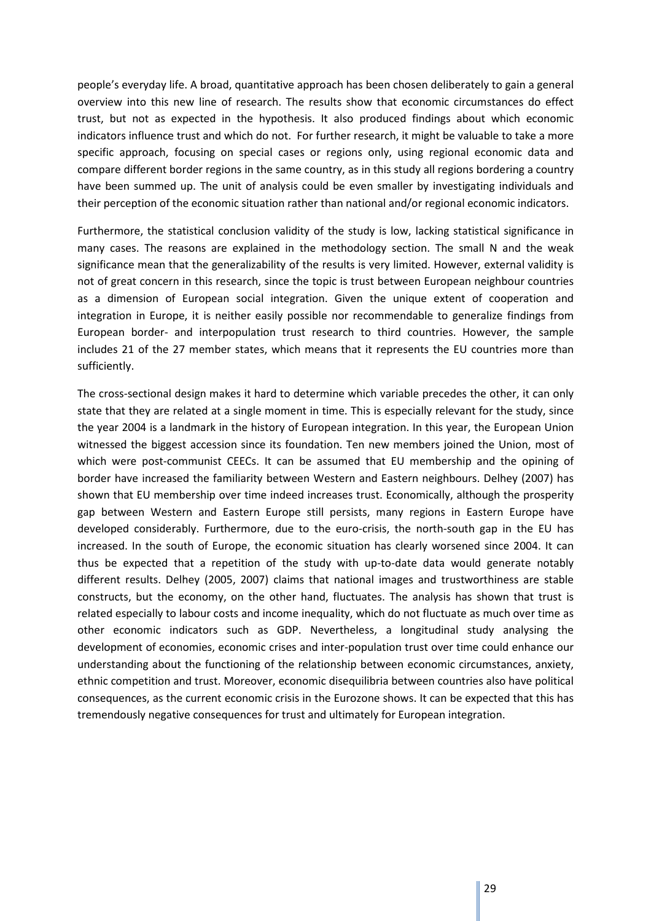people's everyday life. A broad, quantitative approach has been chosen deliberately to gain a general overview into this new line of research. The results show that economic circumstances do effect trust, but not as expected in the hypothesis. It also produced findings about which economic indicators influence trust and which do not. For further research, it might be valuable to take a more specific approach, focusing on special cases or regions only, using regional economic data and compare different border regions in the same country, as in this study all regions bordering a country have been summed up. The unit of analysis could be even smaller by investigating individuals and their perception of the economic situation rather than national and/or regional economic indicators.

Furthermore, the statistical conclusion validity of the study is low, lacking statistical significance in many cases. The reasons are explained in the methodology section. The small N and the weak significance mean that the generalizability of the results is very limited. However, external validity is not of great concern in this research, since the topic is trust between European neighbour countries as a dimension of European social integration. Given the unique extent of cooperation and integration in Europe, it is neither easily possible nor recommendable to generalize findings from European border- and interpopulation trust research to third countries. However, the sample includes 21 of the 27 member states, which means that it represents the EU countries more than sufficiently.

The cross-sectional design makes it hard to determine which variable precedes the other, it can only state that they are related at a single moment in time. This is especially relevant for the study, since the year 2004 is a landmark in the history of European integration. In this year, the European Union witnessed the biggest accession since its foundation. Ten new members joined the Union, most of which were post-communist CEECs. It can be assumed that EU membership and the opining of border have increased the familiarity between Western and Eastern neighbours. Delhey (2007) has shown that EU membership over time indeed increases trust. Economically, although the prosperity gap between Western and Eastern Europe still persists, many regions in Eastern Europe have developed considerably. Furthermore, due to the euro-crisis, the north-south gap in the EU has increased. In the south of Europe, the economic situation has clearly worsened since 2004. It can thus be expected that a repetition of the study with up-to-date data would generate notably different results. Delhey (2005, 2007) claims that national images and trustworthiness are stable constructs, but the economy, on the other hand, fluctuates. The analysis has shown that trust is related especially to labour costs and income inequality, which do not fluctuate as much over time as other economic indicators such as GDP. Nevertheless, a longitudinal study analysing the development of economies, economic crises and inter-population trust over time could enhance our understanding about the functioning of the relationship between economic circumstances, anxiety, ethnic competition and trust. Moreover, economic disequilibria between countries also have political consequences, as the current economic crisis in the Eurozone shows. It can be expected that this has tremendously negative consequences for trust and ultimately for European integration.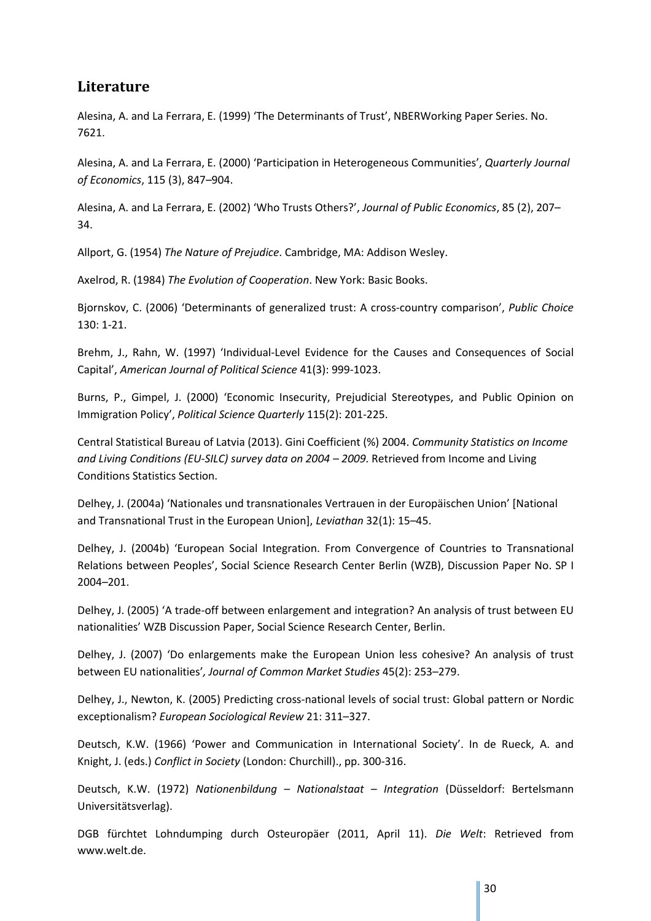# **Literature**

Alesina, A. and La Ferrara, E. (1999) 'The Determinants of Trust', NBERWorking Paper Series. No. 7621.

Alesina, A. and La Ferrara, E. (2000) 'Participation in Heterogeneous Communities', *Quarterly Journal of Economics*, 115 (3), 847–904.

Alesina, A. and La Ferrara, E. (2002) 'Who Trusts Others?', *Journal of Public Economics*, 85 (2), 207– 34.

Allport, G. (1954) *The Nature of Prejudice*. Cambridge, MA: Addison Wesley.

Axelrod, R. (1984) *The Evolution of Cooperation*. New York: Basic Books.

Bjornskov, C. (2006) 'Determinants of generalized trust: A cross-country comparison', *Public Choice*  130: 1-21.

Brehm, J., Rahn, W. (1997) 'Individual-Level Evidence for the Causes and Consequences of Social Capital', *American Journal of Political Science* 41(3): 999-1023.

Burns, P., Gimpel, J. (2000) 'Economic Insecurity, Prejudicial Stereotypes, and Public Opinion on Immigration Policy', *Political Science Quarterly* 115(2): 201-225.

Central Statistical Bureau of Latvia (2013). Gini Coefficient (%) 2004. *Community Statistics on Income*  and Living Conditions (EU-SILC) survey data on 2004 – 2009. Retrieved from Income and Living Conditions Statistics Section.

Delhey, J. (2004a) 'Nationales und transnationales Vertrauen in der Europäischen Union' [National and Transnational Trust in the European Union], *Leviathan* 32(1): 15–45.

Delhey, J. (2004b) 'European Social Integration. From Convergence of Countries to Transnational Relations between Peoples', Social Science Research Center Berlin (WZB), Discussion Paper No. SP I 2004–201.

Delhey, J. (2005) 'A trade-off between enlargement and integration? An analysis of trust between EU nationalities' WZB Discussion Paper, Social Science Research Center, Berlin.

Delhey, J. (2007) 'Do enlargements make the European Union less cohesive? An analysis of trust between EU nationalities'*, Journal of Common Market Studies* 45(2): 253–279.

Delhey, J., Newton, K. (2005) Predicting cross-national levels of social trust: Global pattern or Nordic exceptionalism? *European Sociological Review* 21: 311–327.

Deutsch, K.W. (1966) 'Power and Communication in International Society'. In de Rueck, A. and Knight, J. (eds.) *Conflict in Society* (London: Churchill)., pp. 300-316.

Deutsch, K.W. (1972) *Nationenbildung – Nationalstaat – Integration* (Düsseldorf: Bertelsmann Universitätsverlag).

DGB fürchtet Lohndumping durch Osteuropäer (2011, April 11). *Die Welt*: Retrieved from www.welt.de.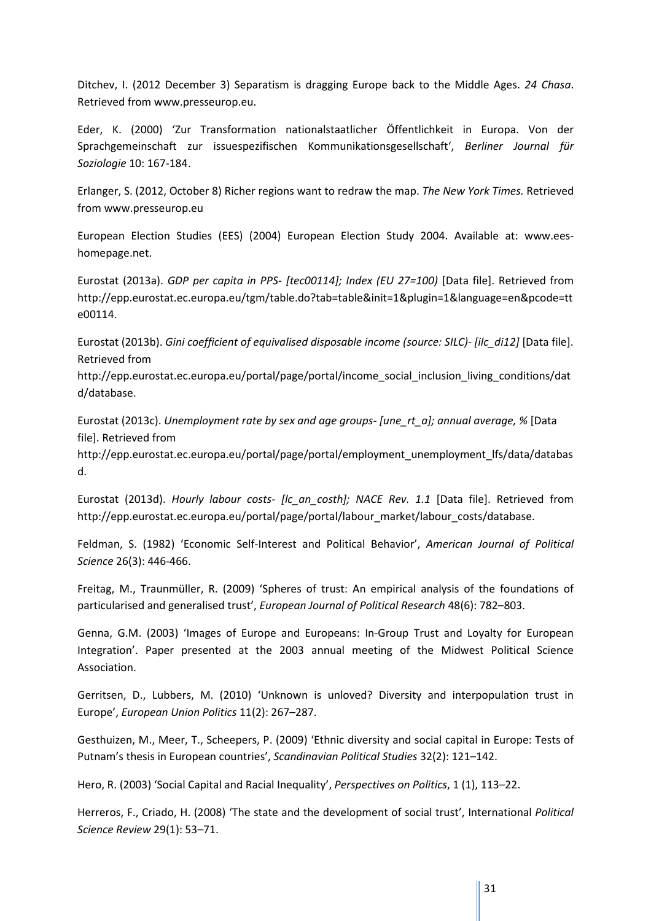Ditchev, I. (2012 December 3) Separatism is dragging Europe back to the Middle Ages. *24 Chasa*. Retrieved from www.presseurop.eu.

Eder, K. (2000) 'Zur Transformation nationalstaatlicher Öffentlichkeit in Europa. Von der Sprachgemeinschaft zur issuespezifischen Kommunikationsgesellschaft', *Berliner Journal für Soziologie* 10: 167-184.

Erlanger, S. (2012, October 8) Richer regions want to redraw the map. *The New York Times.* Retrieved from www.presseurop.eu

European Election Studies (EES) (2004) European Election Study 2004. Available at: www.eeshomepage.net.

Eurostat (2013a). *GDP per capita in PPS- [tec00114]; Index (EU 27=100)* [Data file]. Retrieved from http://epp.eurostat.ec.europa.eu/tgm/table.do?tab=table&init=1&plugin=1&language=en&pcode=tt e00114.

Eurostat (2013b). *Gini coefficient of equivalised disposable income (source: SILC)- [ilc\_di12]* [Data file]. Retrieved from

http://epp.eurostat.ec.europa.eu/portal/page/portal/income\_social\_inclusion\_living\_conditions/dat d/database.

Eurostat (2013c). *Unemployment rate by sex and age groups- [une\_rt\_a]; annual average, %* [Data file]. Retrieved from

http://epp.eurostat.ec.europa.eu/portal/page/portal/employment\_unemployment\_lfs/data/databas d.

Eurostat (2013d). *Hourly labour costs- [lc\_an\_costh]; NACE Rev. 1.1* [Data file]. Retrieved from http://epp.eurostat.ec.europa.eu/portal/page/portal/labour\_market/labour\_costs/database.

Feldman, S. (1982) 'Economic Self-Interest and Political Behavior', *American Journal of Political Science* 26(3): 446-466.

Freitag, M., Traunmüller, R. (2009) 'Spheres of trust: An empirical analysis of the foundations of particularised and generalised trust', *European Journal of Political Research* 48(6): 782–803.

Genna, G.M. (2003) 'Images of Europe and Europeans: In-Group Trust and Loyalty for European Integration'. Paper presented at the 2003 annual meeting of the Midwest Political Science Association.

Gerritsen, D., Lubbers, M. (2010) 'Unknown is unloved? Diversity and interpopulation trust in Europe', *European Union Politics* 11(2): 267–287.

Gesthuizen, M., Meer, T., Scheepers, P. (2009) 'Ethnic diversity and social capital in Europe: Tests of Putnam's thesis in European countries', *Scandinavian Political Studies* 32(2): 121–142.

Hero, R. (2003) 'Social Capital and Racial Inequality', *Perspectives on Politics*, 1 (1), 113–22.

Herreros, F., Criado, H. (2008) 'The state and the development of social trust', International *Political Science Review* 29(1): 53–71.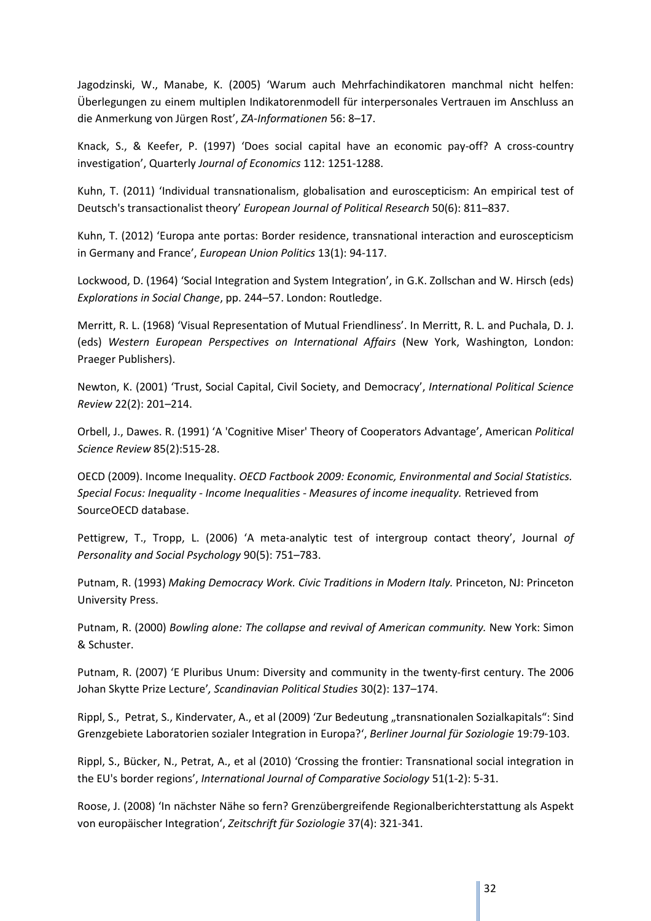Jagodzinski, W., Manabe, K. (2005) 'Warum auch Mehrfachindikatoren manchmal nicht helfen: Überlegungen zu einem multiplen Indikatorenmodell für interpersonales Vertrauen im Anschluss an die Anmerkung von Jürgen Rost', *ZA-Informationen* 56: 8–17.

Knack, S., & Keefer, P. (1997) 'Does social capital have an economic pay-off? A cross-country investigation', Quarterly *Journal of Economics* 112: 1251-1288.

Kuhn, T. (2011) 'Individual transnationalism, globalisation and euroscepticism: An empirical test of Deutsch's transactionalist theory' *European Journal of Political Research* 50(6): 811–837.

Kuhn, T. (2012) 'Europa ante portas: Border residence, transnational interaction and euroscepticism in Germany and France', *European Union Politics* 13(1): 94-117.

Lockwood, D. (1964) 'Social Integration and System Integration', in G.K. Zollschan and W. Hirsch (eds) *Explorations in Social Change*, pp. 244–57. London: Routledge.

Merritt, R. L. (1968) 'Visual Representation of Mutual Friendliness'. In Merritt, R. L. and Puchala, D. J. (eds) *Western European Perspectives on International Affairs* (New York, Washington, London: Praeger Publishers).

Newton, K. (2001) 'Trust, Social Capital, Civil Society, and Democracy', *International Political Science Review* 22(2): 201–214.

Orbell, J., Dawes. R. (1991) 'A 'Cognitive Miser' Theory of Cooperators Advantage', American *Political Science Review* 85(2):515-28.

OECD (2009). Income Inequality. *OECD Factbook 2009: Economic, Environmental and Social Statistics. Special Focus: Inequality - Income Inequalities - Measures of income inequality.* Retrieved from SourceOECD database.

Pettigrew, T., Tropp, L. (2006) 'A meta-analytic test of intergroup contact theory', Journal *of Personality and Social Psychology* 90(5): 751–783.

Putnam, R. (1993) *Making Democracy Work. Civic Traditions in Modern Italy.* Princeton, NJ: Princeton University Press.

Putnam, R. (2000) *Bowling alone: The collapse and revival of American community*. New York: Simon & Schuster.

Putnam, R. (2007) 'E Pluribus Unum: Diversity and community in the twenty-first century. The 2006 Johan Skytte Prize Lecture'*, Scandinavian Political Studies* 30(2): 137–174.

Rippl, S., Petrat, S., Kindervater, A., et al (2009) 'Zur Bedeutung "transnationalen Sozialkapitals": Sind Grenzgebiete Laboratorien sozialer Integration in Europa?', *Berliner Journal für Soziologie* 19:79-103.

Rippl, S., Bücker, N., Petrat, A., et al (2010) 'Crossing the frontier: Transnational social integration in the EU's border regions', *International Journal of Comparative Sociology* 51(1-2): 5-31.

Roose, J. (2008) 'In nächster Nähe so fern? Grenzübergreifende Regionalberichterstattung als Aspekt von europäischer Integration', *Zeitschrift für Soziologie* 37(4): 321-341.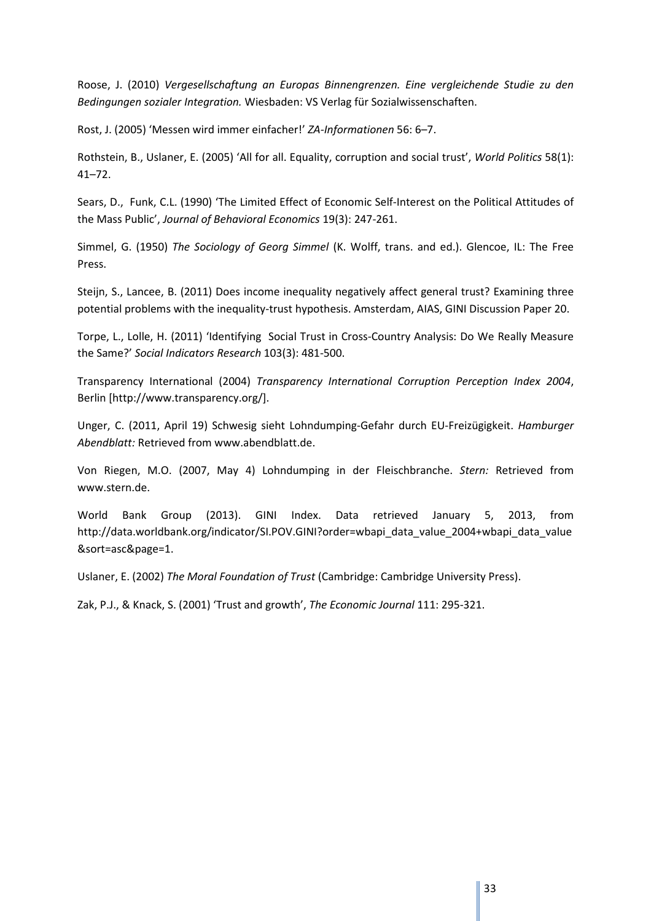Roose, J. (2010) *Vergesellschaftung an Europas Binnengrenzen. Eine vergleichende Studie zu den Bedingungen sozialer Integration.* Wiesbaden: VS Verlag für Sozialwissenschaften.

Rost, J. (2005) 'Messen wird immer einfacher!' *ZA-Informationen* 56: 6–7.

Rothstein, B., Uslaner, E. (2005) 'All for all. Equality, corruption and social trust', *World Politics* 58(1): 41–72.

Sears, D., Funk, C.L. (1990) 'The Limited Effect of Economic Self-Interest on the Political Attitudes of the Mass Public', *Journal of Behavioral Economics* 19(3): 247-261.

Simmel, G. (1950) *The Sociology of Georg Simmel* (K. Wolff, trans. and ed.). Glencoe, IL: The Free Press.

Steijn, S., Lancee, B. (2011) Does income inequality negatively affect general trust? Examining three potential problems with the inequality-trust hypothesis. Amsterdam, AIAS, GINI Discussion Paper 20.

Torpe, L., Lolle, H. (2011) 'Identifying Social Trust in Cross-Country Analysis: Do We Really Measure the Same?' *Social Indicators Research* 103(3): 481-500.

Transparency International (2004) *Transparency International Corruption Perception Index 2004*, Berlin [http://www.transparency.org/].

Unger, C. (2011, April 19) Schwesig sieht Lohndumping-Gefahr durch EU-Freizügigkeit. *Hamburger Abendblatt:* Retrieved from www.abendblatt.de.

Von Riegen, M.O. (2007, May 4) Lohndumping in der Fleischbranche. *Stern:* Retrieved from www.stern.de.

World Bank Group (2013). GINI Index. Data retrieved January 5, 2013, from http://data.worldbank.org/indicator/SI.POV.GINI?order=wbapi\_data\_value\_2004+wbapi\_data\_value &sort=asc&page=1.

Uslaner, E. (2002) *The Moral Foundation of Trust* (Cambridge: Cambridge University Press).

Zak, P.J., & Knack, S. (2001) 'Trust and growth', *The Economic Journal* 111: 295-321.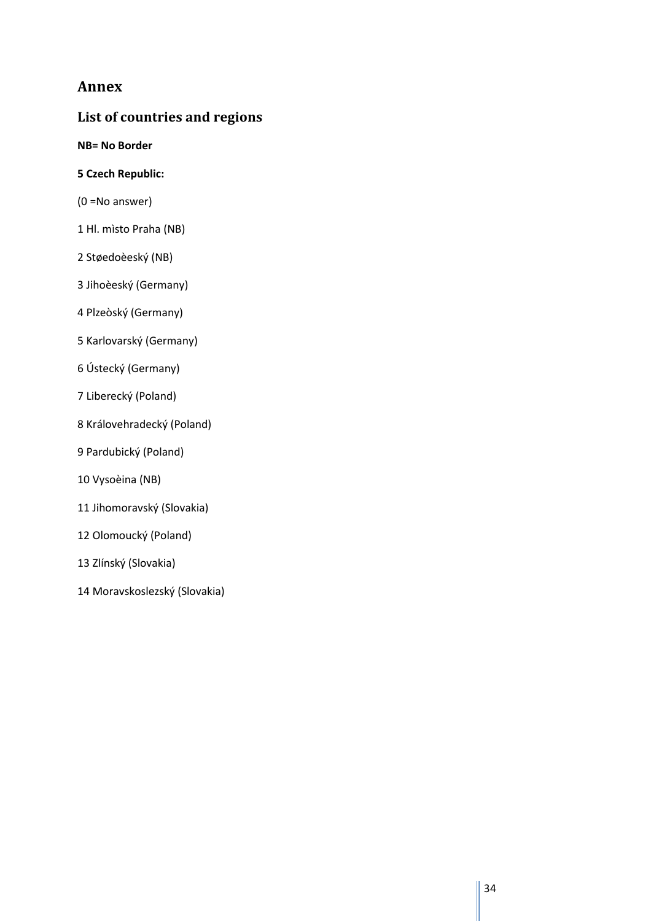# **Annex**

# **List of countries and regions**

**NB= No Border** 

- **5 Czech Republic:**
- (0 =No answer)
- 1 Hl. mìsto Praha (NB)
- 2 Støedoèeský (NB)
- 3 Jihoèeský (Germany)
- 4 Plzeòský (Germany)
- 5 Karlovarský (Germany)
- 6 Ústecký (Germany)
- 7 Liberecký (Poland)
- 8 Královehradecký (Poland)
- 9 Pardubický (Poland)
- 10 Vysoèina (NB)
- 11 Jihomoravský (Slovakia)
- 12 Olomoucký (Poland)
- 13 Zlínský (Slovakia)
- 14 Moravskoslezský (Slovakia)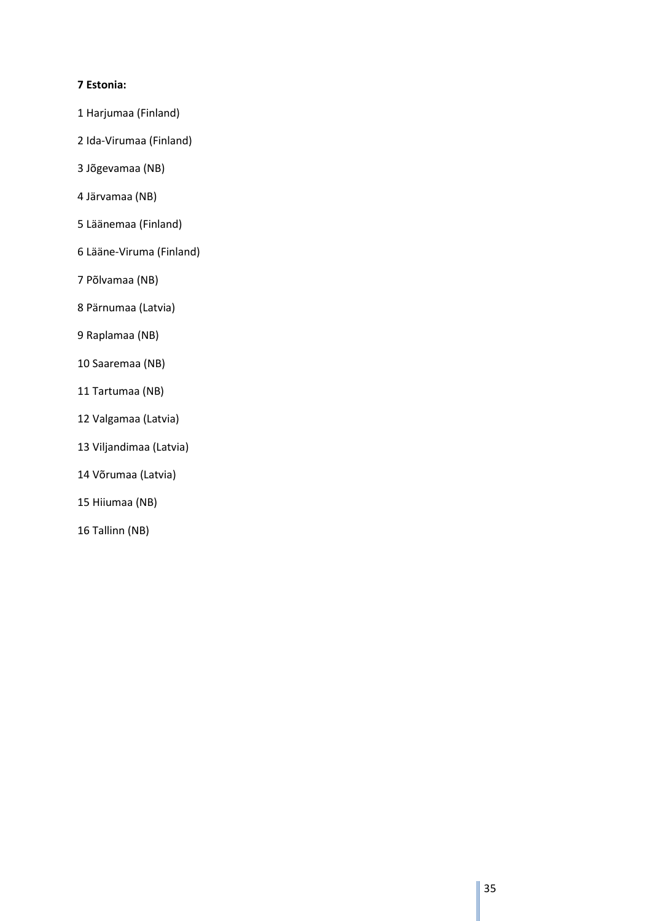### **7 Estonia:**

- 1 Harjumaa (Finland)
- 2 Ida-Virumaa (Finland)
- 3 Jõgevamaa (NB)
- 4 Järvamaa (NB)
- 5 Läänemaa (Finland)
- 6 Lääne-Viruma (Finland)
- 7 Põlvamaa (NB)
- 8 Pärnumaa (Latvia)
- 9 Raplamaa (NB)
- 10 Saaremaa (NB)
- 11 Tartumaa (NB)
- 12 Valgamaa (Latvia)
- 13 Viljandimaa (Latvia)
- 14 Võrumaa (Latvia)
- 15 Hiiumaa (NB)
- 16 Tallinn (NB)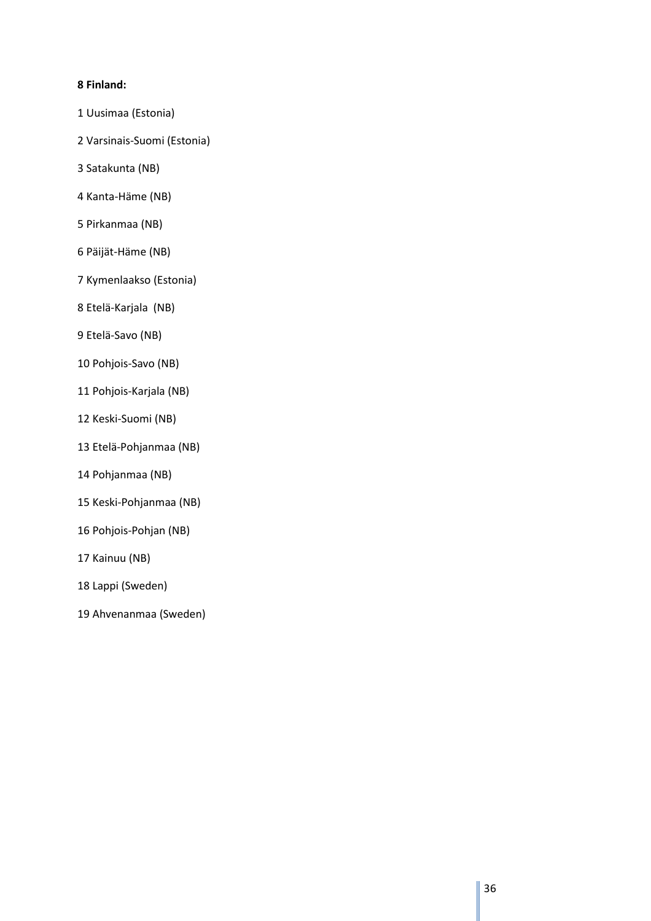## **8 Finland:**

- 1 Uusimaa (Estonia)
- 2 Varsinais-Suomi (Estonia)
- 3 Satakunta (NB)
- 4 Kanta-Häme (NB)
- 5 Pirkanmaa (NB)
- 6 Päijät-Häme (NB)
- 7 Kymenlaakso (Estonia)
- 8 Etelä-Karjala (NB)
- 9 Etelä-Savo (NB)
- 10 Pohjois-Savo (NB)
- 11 Pohjois-Karjala (NB)
- 12 Keski-Suomi (NB)
- 13 Etelä-Pohjanmaa (NB)
- 14 Pohjanmaa (NB)
- 15 Keski-Pohjanmaa (NB)
- 16 Pohjois-Pohjan (NB)
- 17 Kainuu (NB)
- 18 Lappi (Sweden)
- 19 Ahvenanmaa (Sweden)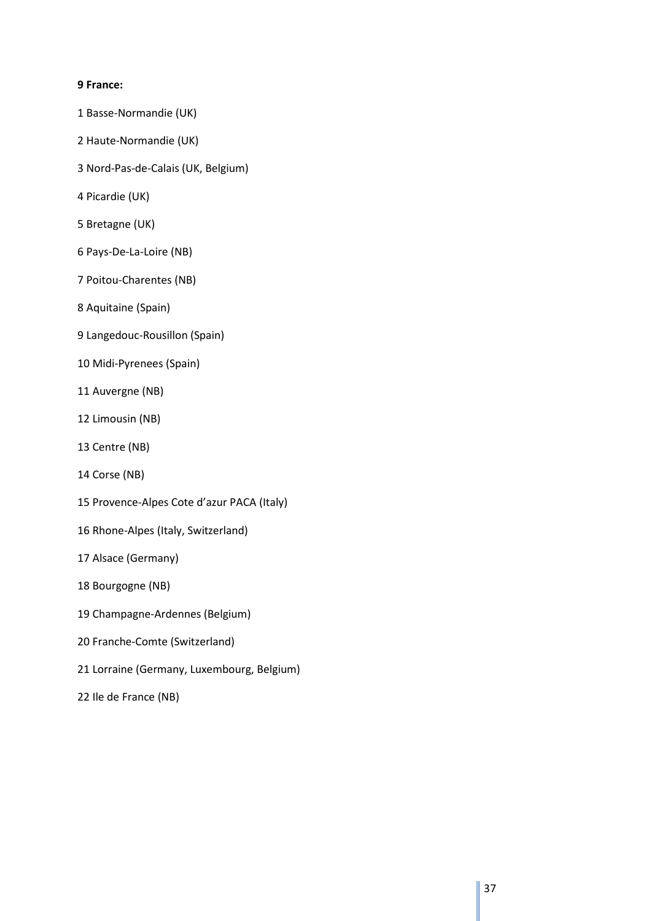#### **9 France:**

- 1 Basse-Normandie (UK)
- 2 Haute-Normandie (UK)
- 3 Nord-Pas-de-Calais (UK, Belgium)
- 4 Picardie (UK)
- 5 Bretagne (UK)
- 6 Pays-De-La-Loire (NB)
- 7 Poitou-Charentes (NB)
- 8 Aquitaine (Spain)
- 9 Langedouc-Rousillon (Spain)
- 10 Midi-Pyrenees (Spain)
- 11 Auvergne (NB)
- 12 Limousin (NB)
- 13 Centre (NB)
- 14 Corse (NB)
- 15 Provence-Alpes Cote d'azur PACA (Italy)
- 16 Rhone-Alpes (Italy, Switzerland)
- 17 Alsace (Germany)
- 18 Bourgogne (NB)
- 19 Champagne-Ardennes (Belgium)
- 20 Franche-Comte (Switzerland)
- 21 Lorraine (Germany, Luxembourg, Belgium)
- 22 Ile de France (NB)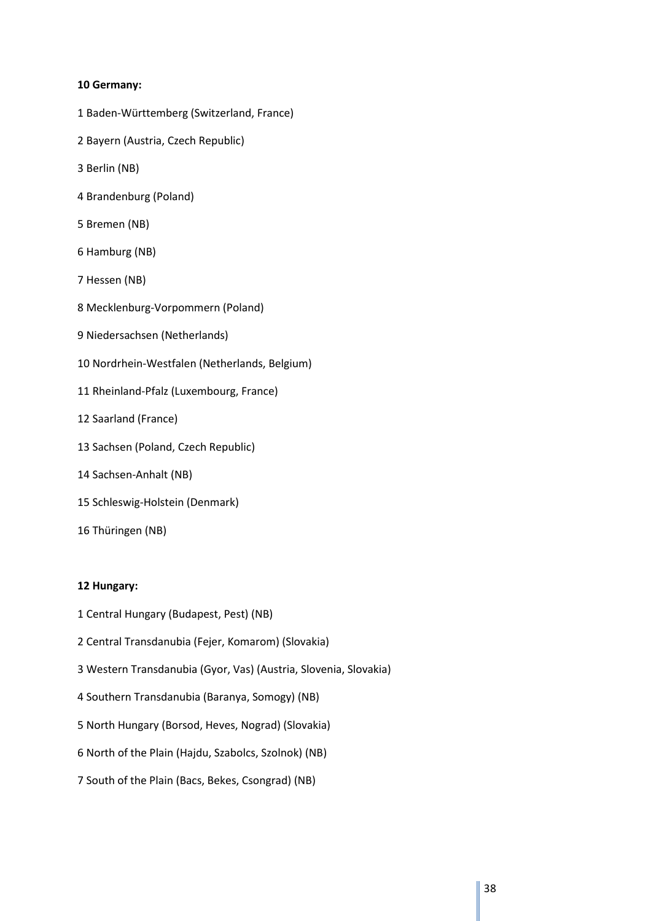#### **10 Germany:**

- 1 Baden-Württemberg (Switzerland, France)
- 2 Bayern (Austria, Czech Republic)
- 3 Berlin (NB)
- 4 Brandenburg (Poland)
- 5 Bremen (NB)
- 6 Hamburg (NB)
- 7 Hessen (NB)
- 8 Mecklenburg-Vorpommern (Poland)
- 9 Niedersachsen (Netherlands)
- 10 Nordrhein-Westfalen (Netherlands, Belgium)
- 11 Rheinland-Pfalz (Luxembourg, France)
- 12 Saarland (France)
- 13 Sachsen (Poland, Czech Republic)
- 14 Sachsen-Anhalt (NB)
- 15 Schleswig-Holstein (Denmark)
- 16 Thüringen (NB)

#### **12 Hungary:**

- 1 Central Hungary (Budapest, Pest) (NB)
- 2 Central Transdanubia (Fejer, Komarom) (Slovakia)
- 3 Western Transdanubia (Gyor, Vas) (Austria, Slovenia, Slovakia)
- 4 Southern Transdanubia (Baranya, Somogy) (NB)
- 5 North Hungary (Borsod, Heves, Nograd) (Slovakia)
- 6 North of the Plain (Hajdu, Szabolcs, Szolnok) (NB)
- 7 South of the Plain (Bacs, Bekes, Csongrad) (NB)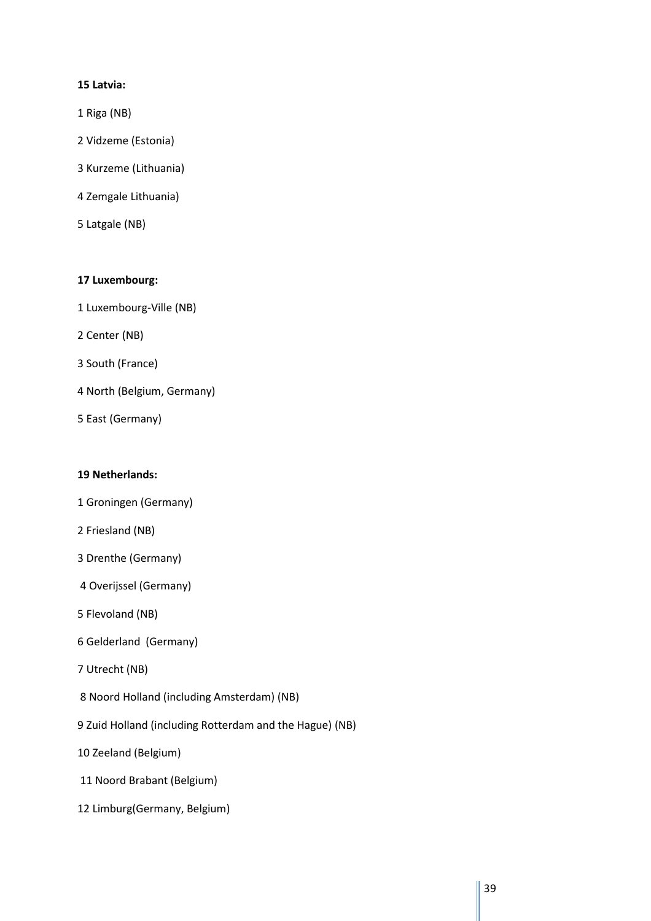#### **15 Latvia:**

- 1 Riga (NB)
- 2 Vidzeme (Estonia)
- 3 Kurzeme (Lithuania)
- 4 Zemgale Lithuania)
- 5 Latgale (NB)

#### **17 Luxembourg:**

- 1 Luxembourg-Ville (NB)
- 2 Center (NB)
- 3 South (France)
- 4 North (Belgium, Germany)
- 5 East (Germany)

#### **19 Netherlands:**

- 1 Groningen (Germany)
- 2 Friesland (NB)
- 3 Drenthe (Germany)
- 4 Overijssel (Germany)
- 5 Flevoland (NB)
- 6 Gelderland (Germany)
- 7 Utrecht (NB)
- 8 Noord Holland (including Amsterdam) (NB)
- 9 Zuid Holland (including Rotterdam and the Hague) (NB)
- 10 Zeeland (Belgium)
- 11 Noord Brabant (Belgium)
- 12 Limburg(Germany, Belgium)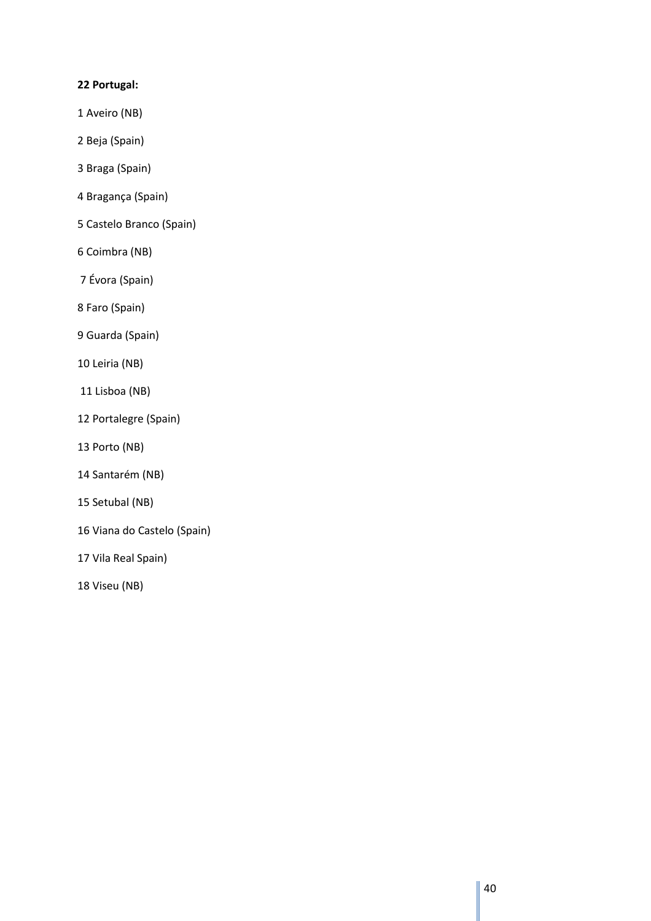#### **22 Portugal:**

- 1 Aveiro (NB)
- 2 Beja (Spain)
- 3 Braga (Spain)
- 4 Bragança (Spain)
- 5 Castelo Branco (Spain)
- 6 Coimbra (NB)
- 7 Évora (Spain)
- 8 Faro (Spain)
- 9 Guarda (Spain)
- 10 Leiria (NB)
- 11 Lisboa (NB)
- 12 Portalegre (Spain)
- 13 Porto (NB)
- 14 Santarém (NB)
- 15 Setubal (NB)
- 16 Viana do Castelo (Spain)
- 17 Vila Real Spain)
- 18 Viseu (NB)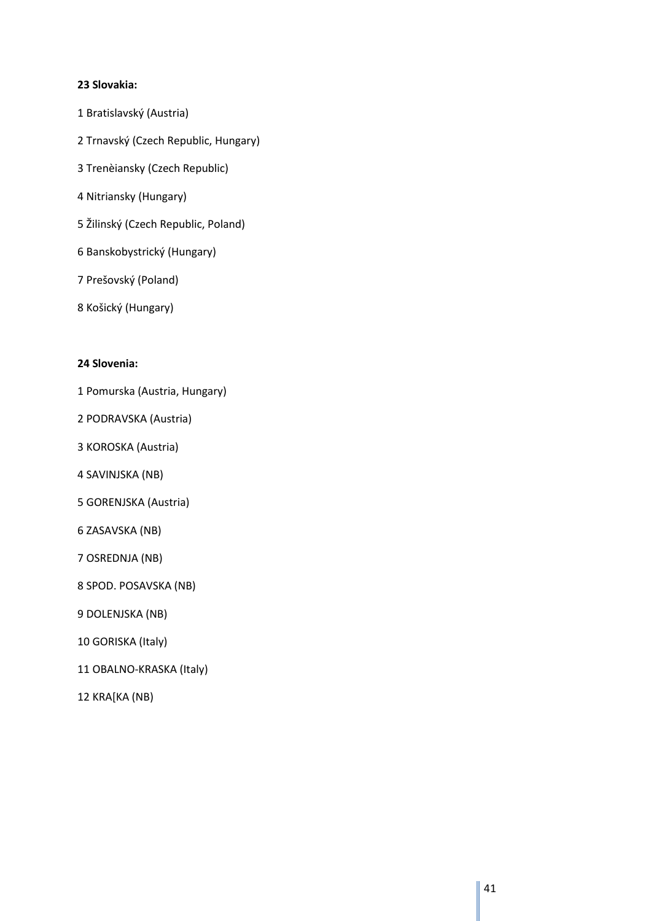#### **23 Slovakia:**

- 1 Bratislavský (Austria)
- 2 Trnavský (Czech Republic, Hungary)
- 3 Trenèiansky (Czech Republic)
- 4 Nitriansky (Hungary)
- 5 Žilinský (Czech Republic, Poland)
- 6 Banskobystrický (Hungary)
- 7 Prešovský (Poland)
- 8 Košický (Hungary)

#### **24 Slovenia:**

- 1 Pomurska (Austria, Hungary)
- 2 PODRAVSKA (Austria)
- 3 KOROSKA (Austria)
- 4 SAVINJSKA (NB)
- 5 GORENJSKA (Austria)
- 6 ZASAVSKA (NB)
- 7 OSREDNJA (NB)
- 8 SPOD. POSAVSKA (NB)
- 9 DOLENJSKA (NB)
- 10 GORISKA (Italy)
- 11 OBALNO-KRASKA (Italy)
- 12 KRA[KA (NB)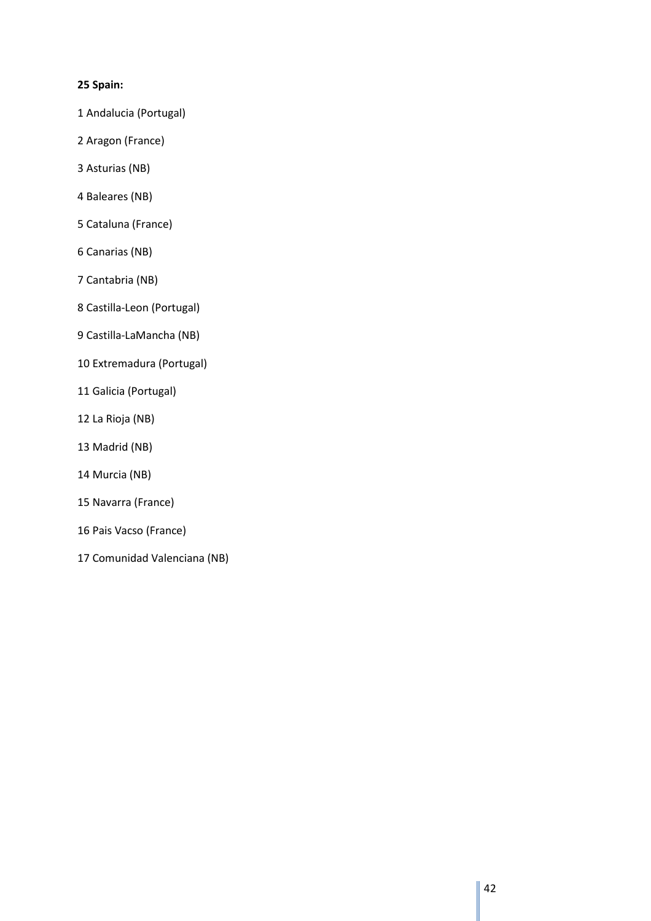#### **25 Spain:**

- 1 Andalucia (Portugal)
- 2 Aragon (France)
- 3 Asturias (NB)
- 4 Baleares (NB)
- 5 Cataluna (France)
- 6 Canarias (NB)
- 7 Cantabria (NB)
- 8 Castilla-Leon (Portugal)
- 9 Castilla-LaMancha (NB)
- 10 Extremadura (Portugal)
- 11 Galicia (Portugal)
- 12 La Rioja (NB)
- 13 Madrid (NB)
- 14 Murcia (NB)
- 15 Navarra (France)
- 16 Pais Vacso (France)
- 17 Comunidad Valenciana (NB)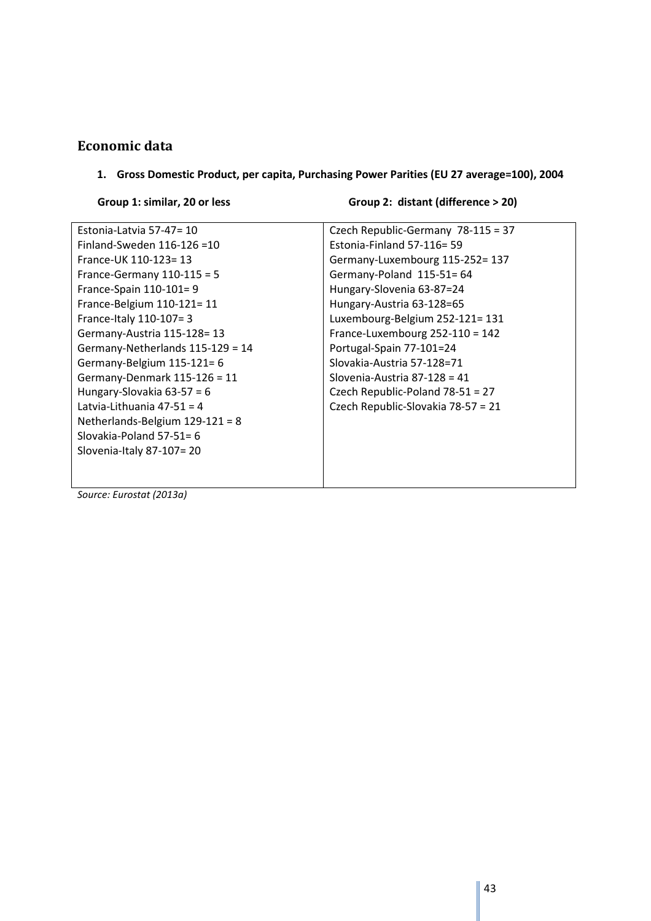# **Economic data**

**1. Gross Domestic Product, per capita, Purchasing Power Parities (EU 27 average=100), 2004** 

Group 1: similar, 20 or less Group 2: distant (difference > 20)

| Estonia-Latvia 57-47= 10          | Czech Republic-Germany 78-115 = 37 |
|-----------------------------------|------------------------------------|
| Finland-Sweden $116-126=10$       | Estonia-Finland 57-116= 59         |
| France-UK 110-123=13              | Germany-Luxembourg 115-252= 137    |
| France-Germany $110-115 = 5$      | Germany-Poland 115-51=64           |
| France-Spain 110-101=9            | Hungary-Slovenia 63-87=24          |
| France-Belgium 110-121= 11        | Hungary-Austria 63-128=65          |
| France-Italy 110-107= 3           | Luxembourg-Belgium 252-121= 131    |
| Germany-Austria 115-128=13        | France-Luxembourg 252-110 = 142    |
| Germany-Netherlands 115-129 = 14  | Portugal-Spain 77-101=24           |
| Germany-Belgium 115-121= 6        | Slovakia-Austria 57-128=71         |
| Germany-Denmark 115-126 = 11      | Slovenia-Austria 87-128 = 41       |
| Hungary-Slovakia $63-57 = 6$      | Czech Republic-Poland 78-51 = 27   |
| Latvia-Lithuania 47-51 = 4        | Czech Republic-Slovakia 78-57 = 21 |
| Netherlands-Belgium $129-121 = 8$ |                                    |
| Slovakia-Poland $57-51=6$         |                                    |
| Slovenia-Italy 87-107=20          |                                    |
|                                   |                                    |
|                                   |                                    |

*Source: Eurostat (2013a)*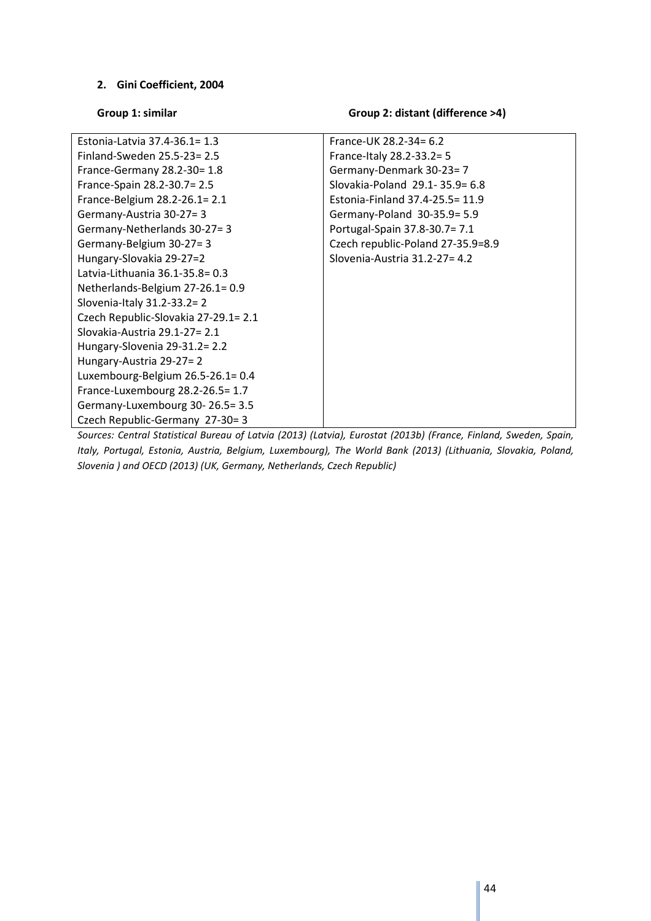#### **2. Gini Coefficient, 2004**

#### Group 1: similar **Group 2: distant (difference >4)**

| Estonia-Latvia 37.4-36.1= 1.3        | France-UK 28.2-34= 6.2            |
|--------------------------------------|-----------------------------------|
| Finland-Sweden 25.5-23= 2.5          | France-Italy 28.2-33.2= 5         |
| France-Germany 28.2-30= 1.8          | Germany-Denmark 30-23=7           |
| France-Spain 28.2-30.7= 2.5          | Slovakia-Poland 29.1-35.9= 6.8    |
| France-Belgium 28.2-26.1= 2.1        | Estonia-Finland 37.4-25.5= 11.9   |
| Germany-Austria 30-27=3              | Germany-Poland 30-35.9 = 5.9      |
| Germany-Netherlands 30-27=3          | Portugal-Spain 37.8-30.7 = 7.1    |
| Germany-Belgium 30-27=3              | Czech republic-Poland 27-35.9=8.9 |
| Hungary-Slovakia 29-27=2             | Slovenia-Austria 31.2-27= 4.2     |
| Latvia-Lithuania 36.1-35.8= 0.3      |                                   |
| Netherlands-Belgium 27-26.1= 0.9     |                                   |
| Slovenia-Italy 31.2-33.2= 2          |                                   |
| Czech Republic-Slovakia 27-29.1= 2.1 |                                   |
| Slovakia-Austria 29.1-27= 2.1        |                                   |
| Hungary-Slovenia 29-31.2= 2.2        |                                   |
| Hungary-Austria 29-27=2              |                                   |
| Luxembourg-Belgium 26.5-26.1= 0.4    |                                   |
| France-Luxembourg 28.2-26.5=1.7      |                                   |
| Germany-Luxembourg 30-26.5=3.5       |                                   |
| Czech Republic-Germany 27-30=3       |                                   |

*Sources: Central Statistical Bureau of Latvia (2013) (Latvia), Eurostat (2013b) (France, Finland, Sweden, Spain, Italy, Portugal, Estonia, Austria, Belgium, Luxembourg), The World Bank (2013) (Lithuania, Slovakia, Poland, Slovenia ) and OECD (2013) (UK, Germany, Netherlands, Czech Republic)*